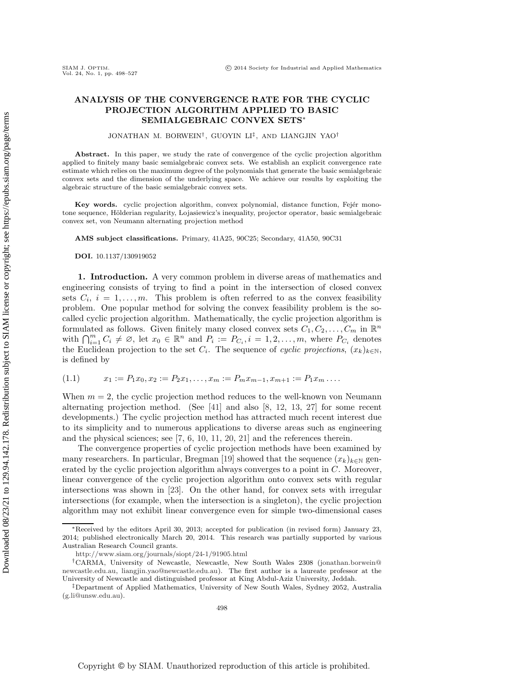# **ANALYSIS OF THE CONVERGENCE RATE FOR THE CYCLIC PROJECTION ALGORITHM APPLIED TO BASIC SEMIALGEBRAIC CONVEX SETS**<sup>∗</sup>

JONATHAN M. BORWEIN† , GUOYIN LI‡ , AND LIANGJIN YAO†

Abstract. In this paper, we study the rate of convergence of the cyclic projection algorithm applied to finitely many basic semialgebraic convex sets. We establish an explicit convergence rate estimate which relies on the maximum degree of the polynomials that generate the basic semialgebraic convex sets and the dimension of the underlying space. We achieve our results by exploiting the algebraic structure of the basic semialgebraic convex sets.

Key words. cyclic projection algorithm, convex polynomial, distance function, Fejér monotone sequence, Hölderian regularity, Lojasiewicz's inequality, projector operator, basic semialgebraic convex set, von Neumann alternating projection method

**AMS subject classifications.** Primary, 41A25, 90C25; Secondary, 41A50, 90C31

**DOI.** 10.1137/130919052

**1. Introduction.** A very common problem in diverse areas of mathematics and engineering consists of trying to find a point in the intersection of closed convex sets  $C_i$ ,  $i = 1, \ldots, m$ . This problem is often referred to as the convex feasibility problem. One popular method for solving the convex feasibility problem is the socalled cyclic projection algorithm. Mathematically, the cyclic projection algorithm is formulated as follows. Given finitely many closed convex sets  $C_1, C_2, \ldots, C_m$  in  $\mathbb{R}^n$ with  $\bigcap_{i=1}^{m} C_i \neq \emptyset$ , let  $x_0 \in \mathbb{R}^n$  and  $P_i := P_{C_i}, i = 1, 2, ..., m$ , where  $P_{C_i}$  denotes the Euclidean projection to the set  $C_i$ . The sequence of *cyclic projections*,  $(x_k)_{k\in\mathbb{N}}$ , is defined by

<span id="page-0-0"></span>
$$
(1.1) \t x_1 := P_1 x_0, x_2 := P_2 x_1, \dots, x_m := P_m x_{m-1}, x_{m+1} := P_1 x_m \dots
$$

When  $m = 2$ , the cyclic projection method reduces to the well-known von Neumann alternating projection method. (See [\[41\]](#page-29-0) and also [\[8,](#page-28-0) [12,](#page-28-1) [13,](#page-28-2) [27\]](#page-29-1) for some recent developments.) The cyclic projection method has attracted much recent interest due to its simplicity and to numerous applications to diverse areas such as engineering and the physical sciences; see [\[7,](#page-28-3) [6,](#page-28-4) [10,](#page-28-5) [11,](#page-28-6) [20,](#page-29-2) [21\]](#page-29-3) and the references therein.

The convergence properties of cyclic projection methods have been examined by many researchers. In particular, Bregman [\[19\]](#page-29-4) showed that the sequence  $(x_k)_{k\in\mathbb{N}}$  generated by the cyclic projection algorithm always converges to a point in C. Moreover, linear convergence of the cyclic projection algorithm onto convex sets with regular intersections was shown in [\[23\]](#page-29-5). On the other hand, for convex sets with irregular intersections (for example, when the intersection is a singleton), the cyclic projection algorithm may not exhibit linear convergence even for simple two-dimensional cases

<sup>∗</sup>Received by the editors April 30, 2013; accepted for publication (in revised form) January 23, 2014; published electronically March 20, 2014. This research was partially supported by various Australian Research Council grants.

<http://www.siam.org/journals/siopt/24-1/91905.html>

<sup>†</sup>CARMA, University of Newcastle, Newcastle, New South Wales 2308 [\(jonathan.borwein@](mailto:jonathan.borwein@newcastle.edu.au) [newcastle.edu.au,](mailto:jonathan.borwein@newcastle.edu.au) [liangjin.yao@newcastle.edu.au\)](mailto:liangjin.yao@newcastle.edu.au). The first author is a laureate professor at the University of Newcastle and distinguished professor at King Abdul-Aziz University, Jeddah.

<sup>‡</sup>Department of Applied Mathematics, University of New South Wales, Sydney 2052, Australia [\(g.li@unsw.edu.au\)](mailto:g.li@unsw.edu.au).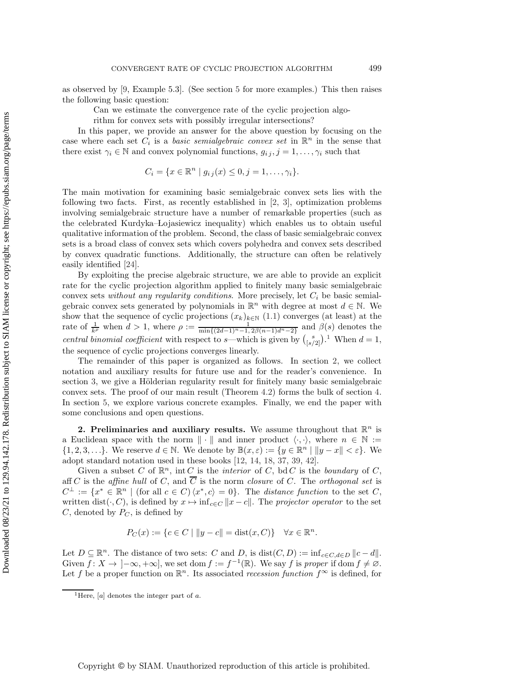as observed by [\[9,](#page-28-7) Example 5.3]. (See section [5](#page-22-0) for more examples.) This then raises the following basic question:

Can we estimate the convergence rate of the cyclic projection algo-

rithm for convex sets with possibly irregular intersections?

In this paper, we provide an answer for the above question by focusing on the case where each set  $C_i$  is a *basic semialgebraic convex set* in  $\mathbb{R}^n$  in the sense that there exist  $\gamma_i \in \mathbb{N}$  and convex polynomial functions,  $g_{i,j}$ ,  $j = 1, \ldots, \gamma_i$  such that

$$
C_i = \{ x \in \mathbb{R}^n \mid g_{ij}(x) \leq 0, j = 1, \dots, \gamma_i \}.
$$

The main motivation for examining basic semialgebraic convex sets lies with the following two facts. First, as recently established in [\[2,](#page-28-8) [3\]](#page-28-9), optimization problems involving semialgebraic structure have a number of remarkable properties (such as the celebrated Kurdyka–Lojasiewicz inequality) which enables us to obtain useful qualitative information of the problem. Second, the class of basic semialgebraic convex sets is a broad class of convex sets which covers polyhedra and convex sets described by convex quadratic functions. Additionally, the structure can often be relatively easily identified [\[24\]](#page-29-6).

By exploiting the precise algebraic structure, we are able to provide an explicit rate for the cyclic projection algorithm applied to finitely many basic semialgebraic convex sets *without any regularity conditions*. More precisely, let  $C_i$  be basic semialgebraic convex sets generated by polynomials in  $\mathbb{R}^n$  with degree at most  $d \in \mathbb{N}$ . We show that the sequence of cyclic projections  $(x_k)_{k\in\mathbb{N}}$  [\(1.1\)](#page-0-0) converges (at least) at the rate of  $\frac{1}{k^{\rho}}$  when  $d > 1$ , where  $\rho := \frac{1}{\min\{(2d-1)^n-1, 2\beta(n-1)d^n-2\}}$  and  $\beta(s)$  denotes the *central binomial coefficient* with respect to s—which is given by  $\binom{s}{[s/2]}$ .<sup>[1](#page-1-0)</sup> When  $d = 1$ , the sequence of cyclic projections converges linearly.

The remainder of this paper is organized as follows. In section [2,](#page-1-1) we collect notation and auxiliary results for future use and for the reader's convenience. In section [3,](#page-5-0) we give a Hölderian regularity result for finitely many basic semialgebraic convex sets. The proof of our main result (Theorem [4.2\)](#page-16-0) forms the bulk of section [4.](#page-15-0) In section [5,](#page-22-0) we explore various concrete examples. Finally, we end the paper with some conclusions and open questions.

<span id="page-1-1"></span>**2. Preliminaries and auxiliary results.** We assume throughout that  $\mathbb{R}^n$  is a Euclidean space with the norm  $\|\cdot\|$  and inner product  $\langle \cdot, \cdot \rangle$ , where  $n \in \mathbb{N} :=$  $\{1, 2, 3, \ldots\}$ . We reserve  $d \in \mathbb{N}$ . We denote by  $\mathbb{B}(x, \varepsilon) := \{y \in \mathbb{R}^n \mid ||y - x|| < \varepsilon\}$ . We adopt standard notation used in these books [\[12,](#page-28-1) [14,](#page-29-7) [18,](#page-29-8) [37,](#page-29-9) [39,](#page-29-10) [42\]](#page-29-11).

Given a subset C of  $\mathbb{R}^n$ , int C is the *interior* of C, bd C is the *boundary* of C, aff C is the *affine hull* of C, and  $\overline{C}$  is the norm *closure* of C. The *orthogonal set* is  $C^{\perp} := \{x^* \in \mathbb{R}^n \mid (\text{for all } c \in C) \langle x^*, c \rangle = 0\}.$  The *distance function* to the set C, written dist( $\cdot$ , C), is defined by  $x \mapsto \inf_{c \in C} ||x - c||$ . The *projector operator* to the set  $C$ , denoted by  $P_C$ , is defined by

$$
P_C(x) := \{ c \in C \mid ||y - c|| = \text{dist}(x, C) \} \quad \forall x \in \mathbb{R}^n.
$$

Let  $D \subseteq \mathbb{R}^n$ . The distance of two sets: C and D, is  $dist(C, D) := \inf_{c \in C, d \in D} ||c - d||$ . Given  $f: X \to [-\infty, +\infty]$ , we set dom  $f := f^{-1}(\mathbb{R})$ . We say f is *proper* if dom  $f \neq \emptyset$ . Let f be a proper function on  $\mathbb{R}^n$ . Its associated *recession function*  $f^{\infty}$  is defined, for

<span id="page-1-0"></span><sup>1</sup>Here, [*a*] denotes the integer part of *a*.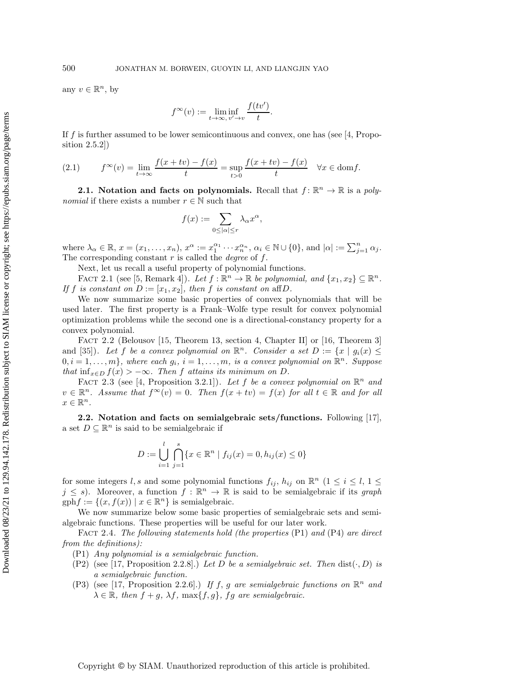any  $v \in \mathbb{R}^n$ , by

$$
f^{\infty}(v):=\liminf_{t\to\infty,\,v'\to v}\frac{f(tv')}{t}.
$$

If f is further assumed to be lower semicontinuous and convex, one has (see [\[4,](#page-28-10) Proposition 2.5.2])

(2.1) 
$$
f^{\infty}(v) = \lim_{t \to \infty} \frac{f(x + tv) - f(x)}{t} = \sup_{t > 0} \frac{f(x + tv) - f(x)}{t} \quad \forall x \in \text{dom} f.
$$

**2.1.** Notation and facts on polynomials. Recall that  $f: \mathbb{R}^n \to \mathbb{R}$  is a *polynomial* if there exists a number  $r \in \mathbb{N}$  such that

$$
f(x):=\sum_{0\leq |\alpha|\leq r}\lambda_{\alpha}x^{\alpha},
$$

where  $\lambda_{\alpha} \in \mathbb{R}$ ,  $x = (x_1, \ldots, x_n)$ ,  $x^{\alpha} := x_1^{\alpha_1} \cdots x_n^{\alpha_n}$ ,  $\alpha_i \in \mathbb{N} \cup \{0\}$ , and  $|\alpha| := \sum_{j=1}^n \alpha_j$ . The corresponding constant r is called the *degree* of f.

Next, let us recall a useful property of polynomial functions.

<span id="page-2-1"></span>FACT 2.1 (see [\[5,](#page-28-11) Remark 4]). Let  $f : \mathbb{R}^n \to \mathbb{R}$  be polynomial, and  $\{x_1, x_2\} \subseteq \mathbb{R}^n$ . *If* f *is constant on*  $D := [x_1, x_2]$ *, then* f *is constant on* aff*D.* 

We now summarize some basic properties of convex polynomials that will be used later. The first property is a Frank–Wolfe type result for convex polynomial optimization problems while the second one is a directional-constancy property for a convex polynomial.

<span id="page-2-0"></span>FACT 2.2 (Belousov [\[15,](#page-29-12) Theorem 13, section 4, Chapter II] or [\[16,](#page-29-13) Theorem 3] and [\[35\]](#page-29-14)). Let f be a convex polynomial on  $\mathbb{R}^n$ . Consider a set  $D := \{x \mid g_i(x) \leq$  $0, i = 1, \ldots, m$ *}, where each*  $g_i, i = 1, \ldots, m$ *, is a convex polynomial on*  $\mathbb{R}^n$ *. Suppose that*  $\inf_{x \in D} f(x) > -\infty$ *. Then* f *attains its minimum on* D.

<span id="page-2-2"></span>FACT 2.3 (see [\[4,](#page-28-10) Proposition 3.2.1]). Let f be a convex polynomial on  $\mathbb{R}^n$  and  $v \in \mathbb{R}^n$ . Assume that  $f^{\infty}(v) = 0$ . Then  $f(x + tv) = f(x)$  for all  $t \in \mathbb{R}$  and for all  $x \in \mathbb{R}^n$ .

**2.2. Notation and facts on semialgebraic sets/functions.** Following [\[17\]](#page-29-15), a set  $D \subseteq \mathbb{R}^n$  is said to be semialgebraic if

$$
D := \bigcup_{i=1}^{l} \bigcap_{j=1}^{s} \{x \in \mathbb{R}^{n} \mid f_{ij}(x) = 0, h_{ij}(x) \le 0\}
$$

for some integers l, s and some polynomial functions  $f_{ij}$ ,  $h_{ij}$  on  $\mathbb{R}^n$  ( $1 \le i \le l$ ,  $1 \le j$ )  $j \leq s$ ). Moreover, a function  $f : \mathbb{R}^n \to \mathbb{R}$  is said to be semialgebraic if its *graph*  $gphf := \{(x, f(x)) \mid x \in \mathbb{R}^n\}$  is semialgebraic.

We now summarize below some basic properties of semialgebraic sets and semialgebraic functions. These properties will be useful for our later work.

Fact 2.4. *The following statements hold (the properties* (P1) *and* (P4) *are direct from the definitions):*

(P1) *Any polynomial is a semialgebraic function.*

- (P2) (see [\[17,](#page-29-15) Proposition 2.2.8].) Let D be a semialgebraic set. Then  $dist(\cdot, D)$  is *a semialgebraic function.*
- (P3) (see [\[17,](#page-29-15) Proposition 2.2.6].) *If* f, g are semialgebraic functions on  $\mathbb{R}^n$  and  $\lambda \in \mathbb{R}$ *, then*  $f + g$ *,*  $\lambda f$ *,*  $\max\{f, g\}$ *, fg are semialgebraic.*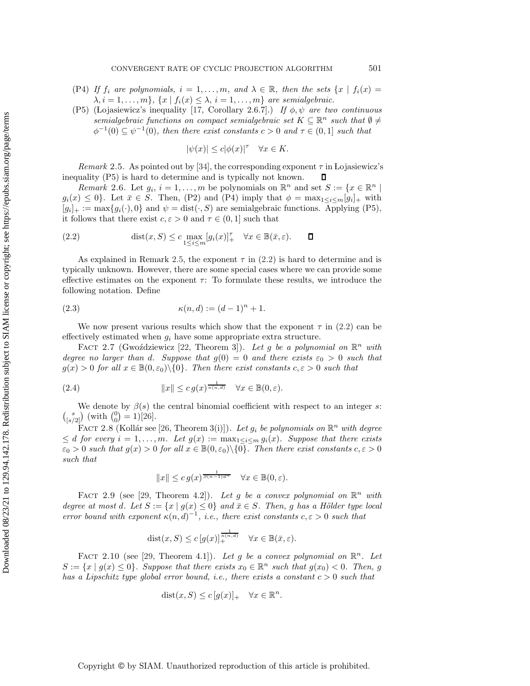- (P4) *If*  $f_i$  are polynomials,  $i = 1, ..., m$ , and  $\lambda \in \mathbb{R}$ , then the sets  $\{x \mid f_i(x) =$  $\lambda, i = 1, \ldots, m$ ,  $\{x \mid f_i(x) \leq \lambda, i = 1, \ldots, m\}$  are semialgebraic.
- (P5) (Lojasiewicz's inequality [\[17,](#page-29-15) Corollary 2.6.7].) *If*  $\phi, \psi$  *are two continuous*  $s$ *emialgebraic functions on compact semialgebraic set*  $K \subseteq \mathbb{R}^n$  *such that*  $\emptyset \neq$  $\phi^{-1}(0) \subseteq \psi^{-1}(0)$ *, then there exist constants*  $c > 0$  *and*  $\tau \in (0,1]$  *such that*

<span id="page-3-1"></span>
$$
|\psi(x)| \le c|\phi(x)|^{\tau} \quad \forall x \in K.
$$

<span id="page-3-0"></span>*Remark* 2.5. As pointed out by [\[34\]](#page-29-16), the corresponding exponent  $\tau$  in Lojasiewicz's inequality (P5) is hard to determine and is typically not known.  $\Box$ 

*Remark* 2.6. Let  $g_i$ ,  $i = 1, ..., m$  be polynomials on  $\mathbb{R}^n$  and set  $S := \{x \in \mathbb{R}^n \mid$  $g_i(x) \leq 0$ . Let  $\bar{x} \in S$ . Then, (P2) and (P4) imply that  $\phi = \max_{1 \leq i \leq m} [g_i]_+$  with  $[g_i]_+ := \max\{g_i(\cdot), 0\}$  and  $\psi = \text{dist}(\cdot, S)$  are semialgebraic functions. Applying (P5), it follows that there exist  $c, \varepsilon > 0$  and  $\tau \in (0, 1]$  such that

(2.2) 
$$
\text{dist}(x, S) \le c \max_{1 \le i \le m} [g_i(x)]_+^{\tau} \quad \forall x \in \mathbb{B}(\bar{x}, \varepsilon). \qquad \Box
$$

As explained in Remark [2.5,](#page-3-0) the exponent  $\tau$  in [\(2.2\)](#page-3-1) is hard to determine and is typically unknown. However, there are some special cases where we can provide some effective estimates on the exponent  $\tau$ : To formulate these results, we introduce the following notation. Define

(2.3) 
$$
\kappa(n, d) := (d - 1)^n + 1.
$$

We now present various results which show that the exponent  $\tau$  in [\(2.2\)](#page-3-1) can be effectively estimated when  $g_i$  have some appropriate extra structure.

<span id="page-3-2"></span>FACT 2.7 (Gwoździewicz [\[22,](#page-29-17) Theorem 3]). Let g be a polynomial on  $\mathbb{R}^n$  with *degree no larger than* d. Suppose that  $g(0) = 0$  and there exists  $\varepsilon_0 > 0$  such that  $g(x) > 0$  *for all*  $x \in \mathbb{B}(0, \varepsilon_0) \setminus \{0\}$ *. Then there exist constants*  $c, \varepsilon > 0$  *such that* 

(2.4) 
$$
||x|| \leq c \, g(x)^{\frac{1}{\kappa(n,d)}} \quad \forall x \in \mathbb{B}(0,\varepsilon).
$$

We denote by  $\beta(s)$  the central binomial coefficient with respect to an integer s:  $\binom{s}{[s/2]}$  (with  $\binom{0}{0} = 1$ )[\[26\]](#page-29-18).

<span id="page-3-3"></span>FACT 2.8 (Kollár see [\[26,](#page-29-18) Theorem 3(i)]). Let  $g_i$  be polynomials on  $\mathbb{R}^n$  with degree  $\leq d$  *for every*  $i = 1, \ldots, m$ *. Let*  $g(x) := \max_{1 \leq i \leq m} g_i(x)$ *. Suppose that there exists*  $\varepsilon_0 > 0$  such that  $g(x) > 0$  for all  $x \in \mathbb{B}(0, \varepsilon_0) \setminus \{0\}$ . Then there exist constants  $c, \varepsilon > 0$ *such that*

$$
||x|| \leq c \, g(x)^{\frac{1}{\beta(n-1)d^n}} \quad \forall x \in \mathbb{B}(0, \varepsilon).
$$

<span id="page-3-4"></span>FACT 2.9 (see [\[29,](#page-29-19) Theorem 4.2]). Let g be a convex polynomial on  $\mathbb{R}^n$  with *degree at most d. Let*  $S := \{x \mid g(x) \leq 0\}$  *and*  $\overline{x} \in S$ *. Then, g has a Hölder type local error bound with exponent*  $\kappa(n, d)^{-1}$ *, i.e., there exist constants*  $c, \varepsilon > 0$  *such that* 

$$
dist(x, S) \le c \left[ g(x) \right]_+^{\frac{1}{\kappa(n,d)}} \quad \forall x \in \mathbb{B}(\bar{x}, \varepsilon).
$$

<span id="page-3-5"></span>FACT 2.10 (see [\[29,](#page-29-19) Theorem 4.1]). Let g be a convex polynomial on  $\mathbb{R}^n$ . Let  $S := \{x \mid g(x) \leq 0\}$ . Suppose that there exists  $x_0 \in \mathbb{R}^n$  such that  $g(x_0) < 0$ . Then, g *has a Lipschitz type global error bound, i.e., there exists a constant*  $c > 0$  *such that* 

$$
dist(x, S) \le c [g(x)]_{+} \quad \forall x \in \mathbb{R}^{n}.
$$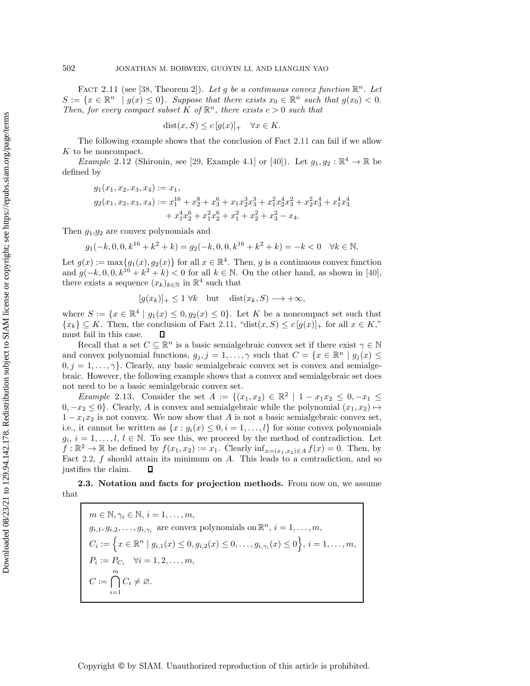<span id="page-4-0"></span>FACT 2.11 (see [\[38,](#page-29-20) Theorem 2]). Let g be a continuous convex function  $\mathbb{R}^n$ . Let  $S := \{x \in \mathbb{R}^n \mid g(x) \leq 0\}$ *. Suppose that there exists*  $x_0 \in \mathbb{R}^n$  *such that*  $g(x_0) < 0$ *. Then, for every compact subset* K of  $\mathbb{R}^n$ *, there exists*  $c > 0$  *such that* 

$$
dist(x, S) \le c [g(x)]_+ \quad \forall x \in K.
$$

The following example shows that the conclusion of Fact [2.11](#page-4-0) can fail if we allow K to be noncompact.

*Example* 2.12 (Shironin, see [\[29,](#page-29-19) Example 4.1] or [\[40\]](#page-29-21)). Let  $g_1, g_2 : \mathbb{R}^4 \to \mathbb{R}$  be defined by

$$
g_1(x_1, x_2, x_3, x_4) := x_1,
$$
  
\n
$$
g_2(x_1, x_2, x_3, x_4) := x_1^{16} + x_2^8 + x_3^6 + x_1 x_2^3 x_3^3 + x_1^2 x_2^4 x_3^2 + x_2^2 x_3^4 + x_1^4 x_3^4
$$
  
\n
$$
+ x_1^4 x_2^6 + x_1^2 x_2^6 + x_1^2 + x_2^2 + x_3^2 - x_4.
$$

Then  $q_1,q_2$  are convex polynomials and

 $q_1(-k, 0, 0, k^{16} + k^2 + k) = q_2(-k, 0, 0, k^{16} + k^2 + k) = -k < 0 \quad \forall k \in \mathbb{N}.$ 

Let  $g(x) := \max\{g_1(x), g_2(x)\}\$  for all  $x \in \mathbb{R}^4$ . Then, g is a continuous convex function and  $g(-k, 0, 0, k^{16} + k^2 + k) < 0$  for all  $k \in \mathbb{N}$ . On the other hand, as shown in [\[40\]](#page-29-21), there exists a sequence  $(x_k)_{k\in\mathbb{N}}$  in  $\mathbb{R}^4$  such that

$$
[g(x_k)]_+ \le 1 \ \forall k \quad \text{but} \quad \text{dist}(x_k, S) \longrightarrow +\infty,
$$

where  $S := \{x \in \mathbb{R}^4 \mid g_1(x) \leq 0, g_2(x) \leq 0\}$ . Let K be a noncompact set such that  ${x_k} \subseteq K$ . Then, the conclusion of Fact [2.11,](#page-4-0) "dist $(x, S) \le c[g(x)]_+$  for all  $x \in K$ ," must fail in this case. Д

Recall that a set  $C \subseteq \mathbb{R}^n$  is a basic semialgebraic convex set if there exist  $\gamma \in \mathbb{N}$ and convex polynomial functions,  $g_j$ ,  $j = 1, \ldots, \gamma$  such that  $C = \{x \in \mathbb{R}^n \mid g_j(x) \leq \gamma\}$  $0, j = 1, \ldots, \gamma$ . Clearly, any basic semialgebraic convex set is convex and semialgebraic. However, the following example shows that a convex and semialgebraic set does not need to be a basic semialgebraic convex set.

<span id="page-4-1"></span>*Example* 2.13. Consider the set  $A := \{(x_1, x_2) \in \mathbb{R}^2 \mid 1 - x_1x_2 \leq 0, -x_1 \leq 0\}$  $0, -x_2 \leq 0$ . Clearly, A is convex and semialgebraic while the polynomial  $(x_1, x_2) \mapsto$  $1 - x_1x_2$  is not convex. We now show that A is not a basic semialgebraic convex set, i.e., it cannot be written as  $\{x : g_i(x) \leq 0, i = 1, \ldots, l\}$  for some convex polynomials  $g_i, i = 1, \ldots, l, l \in \mathbb{N}$ . To see this, we proceed by the method of contradiction. Let  $f : \mathbb{R}^2 \to \mathbb{R}$  be defined by  $f(x_1, x_2) := x_1$ . Clearly  $\inf_{x=(x_1, x_2) \in A} f(x) = 0$ . Then, by Fact [2.2,](#page-2-0)  $f$  should attain its minimum on  $A$ . This leads to a contradiction, and so justifies the claim.  $\Box$ 

**2.3. Notation and facts for projection methods.** From now on, we assume that

 $m \in \mathbb{N}, \gamma_i \in \mathbb{N}, i = 1, \ldots, m,$  $g_{i,1}, g_{i,2}, \ldots, g_{i,\gamma_i}$  are convex polynomials on  $\mathbb{R}^n$ ,  $i = 1, \ldots, m$ ,  $C_i := \left\{ x \in \mathbb{R}^n \mid g_{i,1}(x) \leq 0, g_{i,2}(x) \leq 0, \ldots, g_{i,\gamma_i}(x) \leq 0 \right\}, \, i = 1, \ldots, m,$  $P_i := P_{C_i} \quad \forall i = 1, 2, ..., m,$  $C := \bigcap^m$  $i=1$  $C_i \neq \emptyset$ .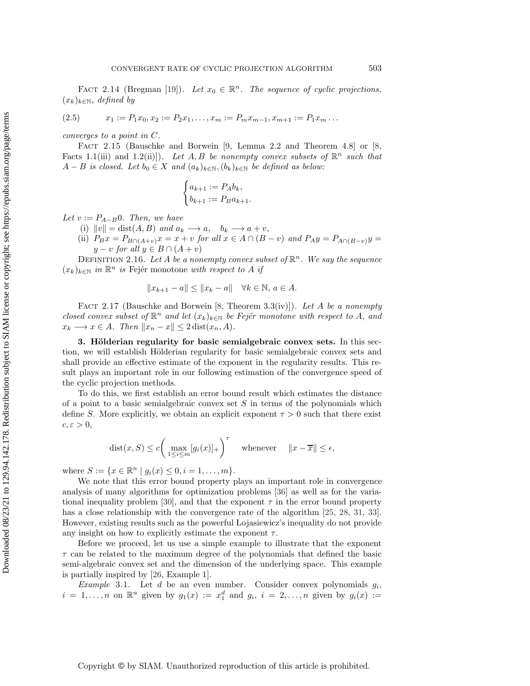<span id="page-5-2"></span>FACT 2.14 (Bregman [\[19\]](#page-29-4)). Let  $x_0 \in \mathbb{R}^n$ . The sequence of cyclic projections, (xk)k∈N*, defined by*

$$
(2.5) \t x_1 := P_1 x_0, x_2 := P_2 x_1, \dots, x_m := P_m x_{m-1}, x_{m+1} := P_1 x_m \dots
$$

<span id="page-5-3"></span>*converges to a point in* C*.*

Fact 2.15 (Bauschke and Borwein [\[9,](#page-28-7) Lemma 2.2 and Theorem 4.8] or [\[8,](#page-28-0) Facts 1.1(iii) and 1.2(ii)]). Let A, B be nonempty convex subsets of  $\mathbb{R}^n$  such that  $A - B$  *is closed. Let*  $b_0 \in X$  *and*  $(a_k)_{k \in \mathbb{N}}, (b_k)_{k \in \mathbb{N}}$  *be defined as below:* 

$$
\begin{cases} a_{k+1} := P_A b_k, \\ b_{k+1} := P_B a_{k+1}. \end{cases}
$$

*Let*  $v := P_{A-B}0$ *. Then, we have* 

- (i)  $||v|| = \text{dist}(A, B)$  *and*  $a_k \rightarrow a, \quad b_k \rightarrow a + v,$
- (ii)  $P_Bx = P_{B \cap (A+v)}x = x + v$  *for all*  $x \in A \cap (B-v)$  *and*  $P_Ay = P_{A \cap (B-v)}y =$  $y - v$  *for all*  $y \in B \cap (A + v)$

DEFINITION 2.16. Let A be a nonempty convex subset of  $\mathbb{R}^n$ . We say the sequence  $(x_k)_{k \in \mathbb{N}}$  *in*  $\mathbb{R}^n$  *is* Fejér monotone *with respect to A if* 

$$
||x_{k+1} - a|| \le ||x_k - a|| \quad \forall k \in \mathbb{N}, a \in A.
$$

<span id="page-5-4"></span>Fact 2.17 (Bauschke and Borwein [\[8,](#page-28-0) Theorem 3.3(iv)]). *Let* A *be a nonempty closed convex subset of*  $\mathbb{R}^n$  *and let*  $(x_k)_{k\in\mathbb{N}}$  *be Fejér monotone with respect to* A, and  $x_k \longrightarrow x \in A$ *. Then*  $||x_n - x|| \leq 2 \text{dist}(x_n, A)$ *.* 

<span id="page-5-0"></span>**3. Hölderian regularity for basic semialgebraic convex sets.** In this section, we will establish Hölderian regularity for basic semialgebraic convex sets and shall provide an effective estimate of the exponent in the regularity results. This result plays an important role in our following estimation of the convergence speed of the cyclic projection methods.

To do this, we first establish an error bound result which estimates the distance of a point to a basic semialgebraic convex set  $S$  in terms of the polynomials which define S. More explicitly, we obtain an explicit exponent  $\tau > 0$  such that there exist  $c, \varepsilon > 0$ ,

$$
dist(x, S) \le c \bigg( \max_{1 \le i \le m} [g_i(x)]_+ \bigg)^\tau \quad \text{whenever} \quad ||x - \overline{x}|| \le \epsilon,
$$

where  $S := \{x \in \mathbb{R}^n \mid g_i(x) \leq 0, i = 1, ..., m\}.$ 

We note that this error bound property plays an important role in convergence analysis of many algorithms for optimization problems [\[36\]](#page-29-22) as well as for the varia-tional inequality problem [\[30\]](#page-29-23), and that the exponent  $\tau$  in the error bound property has a close relationship with the convergence rate of the algorithm [\[25,](#page-29-24) [28,](#page-29-25) [31,](#page-29-26) [33\]](#page-29-27). However, existing results such as the powerful Lojasiewicz's inequality do not provide any insight on how to explicitly estimate the exponent  $\tau$ .

Before we proceed, let us use a simple example to illustrate that the exponent  $\tau$  can be related to the maximum degree of the polynomials that defined the basic semi-algebraic convex set and the dimension of the underlying space. This example is partially inspired by [\[26,](#page-29-18) Example 1].

<span id="page-5-1"></span>*Example* 3.1. Let  $d$  be an even number. Consider convex polynomials  $g_i$ ,  $i = 1, \ldots, n$  on  $\mathbb{R}^n$  given by  $g_1(x) := x_1^d$  and  $g_i$ ,  $i = 2, \ldots, n$  given by  $g_i(x) :=$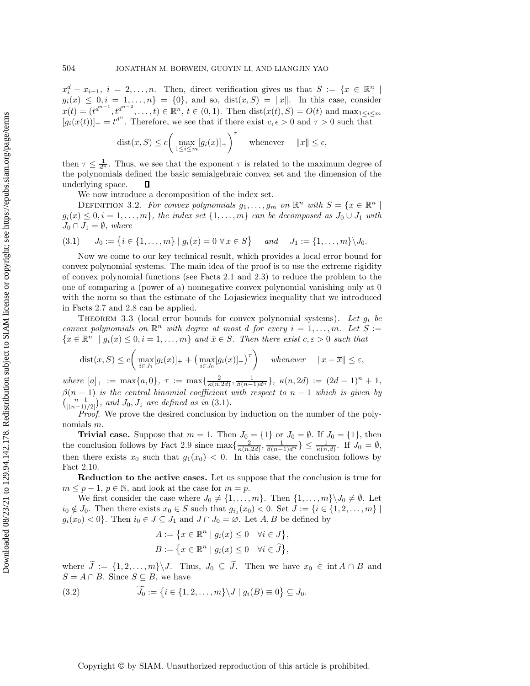$x_i^d - x_{i-1}, i = 2,...,n.$  Then, direct verification gives us that  $S := \{x \in \mathbb{R}^n \mid x_i^d = 1, ..., n\}$  $g_i(x) \leq 0, i = 1,...,n$  = {0}, and so, dist $(x, S) = ||x||$ . In this case, consider  $x(t) = (t^{d^{n-1}}, t^{d^{n-2}}, \ldots, t) \in \mathbb{R}^n, t \in (0, 1)$ . Then  $dist(x(t), S) = O(t)$  and  $\max_{1 \leq i \leq m}$  $[g_i(x(t))]_+ = t^{d^n}$ . Therefore, we see that if there exist  $c, \epsilon > 0$  and  $\tau > 0$  such that

$$
dist(x, S) \le c \bigg( \max_{1 \le i \le m} [g_i(x)]_+ \bigg)^{\tau} \quad \text{whenever} \quad ||x|| \le \epsilon,
$$

then  $\tau \leq \frac{1}{d^n}$ . Thus, we see that the exponent  $\tau$  is related to the maximum degree of the polynomials defined the basic semialgebraic convex set and the dimension of the underlying space. 口

<span id="page-6-0"></span>We now introduce a decomposition of the index set.

DEFINITION 3.2. For convex polynomials  $g_1, \ldots, g_m$  on  $\mathbb{R}^n$  with  $S = \{x \in \mathbb{R}^n \mid$  $g_i(x) \leq 0, i = 1, \ldots, m$ , the index set  $\{1, \ldots, m\}$  can be decomposed as  $J_0 \cup J_1$  with  $J_0 \cap J_1 = \emptyset$ , where

$$
(3.1) \qquad J_0 := \left\{ i \in \{1, \dots, m\} \mid g_i(x) = 0 \,\,\forall x \in S \right\} \qquad and \qquad J_1 := \{1, \dots, m\} \setminus J_0.
$$

Now we come to our key technical result, which provides a local error bound for convex polynomial systems. The main idea of the proof is to use the extreme rigidity of convex polynomial functions (see Facts [2.1](#page-2-1) and [2.3\)](#page-2-2) to reduce the problem to the one of comparing a (power of a) nonnegative convex polynomial vanishing only at 0 with the norm so that the estimate of the Lojasiewicz inequality that we introduced in Facts [2.7](#page-3-2) and [2.8](#page-3-3) can be applied.

<span id="page-6-2"></span>Theorem 3.3 (local error bounds for convex polynomial systems). *Let* g<sup>i</sup> *be convex polynomials on*  $\mathbb{R}^n$  *with degree at most d for every*  $i = 1, \ldots, m$ *. Let*  $S :=$  ${x \in \mathbb{R}^n \mid q_i(x) \leq 0, i = 1, \ldots, m}$  *and*  $\bar{x} \in S$ *. Then there exist*  $c, \varepsilon > 0$  *such that* 

$$
dist(x, S) \le c \bigg( \max_{i \in J_1} [g_i(x)]_+ + \big( \max_{i \in J_0} [g_i(x)]_+ \big)^\tau \bigg) \quad \text{ whenever } \quad \|x - \overline{x}\| \le \varepsilon,
$$

 $where [a]_{+} := \max\{a, 0\}, \tau := \max\{\frac{2}{\kappa(n, 2d)}, \frac{1}{\beta(n-1)d^{n}}\}, \ \kappa(n, 2d) := (2d - 1)^{n} + 1,$  $\beta(n-1)$  *is the central binomial coefficient with respect to*  $n-1$  *which is given by*  $\binom{n-1}{[(n-1)/2]}$ , and  $J_0, J_1$  are defined as in [\(3.1\)](#page-6-0).

*Proof*. We prove the desired conclusion by induction on the number of the polynomials m.

**Trivial case.** Suppose that  $m = 1$ . Then  $J_0 = \{1\}$  or  $J_0 = \emptyset$ . If  $J_0 = \{1\}$ , then the conclusion follows by Fact [2.9](#page-3-4) since  $\max\{\frac{2}{\kappa(n,2d)},\frac{1}{\beta(n-1)d^n}\}\leq \frac{1}{\kappa(n,d)}$ . If  $J_0=\emptyset$ , then there exists  $x_0$  such that  $g_1(x_0) < 0$ . In this case, the conclusion follows by Fact [2.10.](#page-3-5)

**Reduction to the active cases.** Let us suppose that the conclusion is true for  $m \leq p-1, p \in \mathbb{N}$ , and look at the case for  $m = p$ .

We first consider the case where  $J_0 \neq \{1, \ldots, m\}$ . Then  $\{1, \ldots, m\} \setminus J_0 \neq \emptyset$ . Let  $i_0 \notin J_0$ . Then there exists  $x_0 \in S$  such that  $g_{i_0}(x_0) < 0$ . Set  $J := \{i \in \{1, 2, \ldots, m\} \mid$  $g_i(x_0) < 0$ . Then  $i_0 \in J \subseteq J_1$  and  $J \cap J_0 = \emptyset$ . Let  $A, B$  be defined by

$$
A := \{ x \in \mathbb{R}^n \mid g_i(x) \le 0 \quad \forall i \in J \},
$$
  

$$
B := \{ x \in \mathbb{R}^n \mid g_i(x) \le 0 \quad \forall i \in \tilde{J} \},
$$

where  $J := \{1, 2, ..., m\} \setminus J$ . Thus,  $J_0 \subseteq J$ . Then we have  $x_0 \in \text{int } A \cap B$  and  $S = A \cap B$ . Since  $S \subseteq B$ , we have

<span id="page-6-1"></span>(3.2) 
$$
J_0 := \{ i \in \{1, 2, ..., m\} \setminus J \mid g_i(B) \equiv 0 \} \subseteq J_0.
$$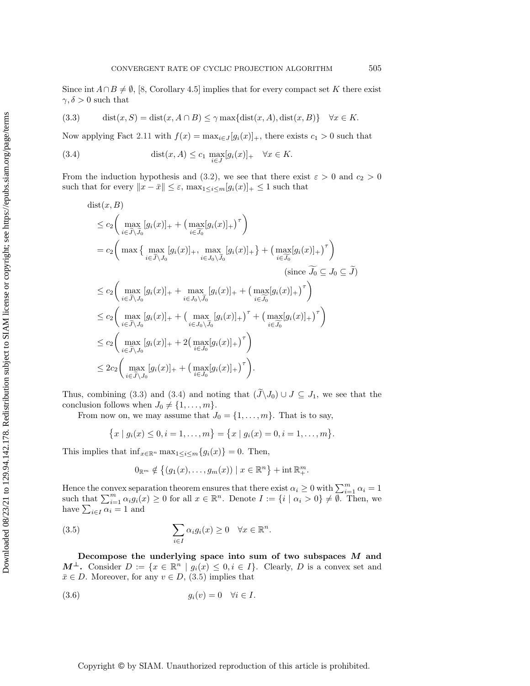Since int  $A \cap B \neq \emptyset$ , [\[8,](#page-28-0) Corollary 4.5] implies that for every compact set K there exist  $\gamma, \delta > 0$  such that

<span id="page-7-0"></span>(3.3) 
$$
\text{dist}(x, S) = \text{dist}(x, A \cap B) \le \gamma \max\{\text{dist}(x, A), \text{dist}(x, B)\} \quad \forall x \in K.
$$

Now applying Fact [2.11](#page-4-0) with  $f(x) = \max_{i \in J} [g_i(x)]_+,$  there exists  $c_1 > 0$  such that

<span id="page-7-1"></span>(3.4) 
$$
\text{dist}(x, A) \le c_1 \max_{i \in J} [g_i(x)]_+ \quad \forall x \in K.
$$

From the induction hypothesis and [\(3.2\)](#page-6-1), we see that there exist  $\varepsilon > 0$  and  $c_2 > 0$ such that for every  $\|x - \bar{x}\| \leq \varepsilon$ ,  $\max_{1 \leq i \leq m} [g_i(x)]_+ \leq 1$  such that

$$
\begin{split}\n\text{dist}(x, B) &\leq c_2 \bigg( \max_{i \in \widetilde{J} \setminus \widetilde{J}_0} [g_i(x)]_+ + \big( \max_{i \in \widetilde{J}_0} [g_i(x)]_+ \big)^\tau \bigg) \\
&= c_2 \bigg( \max \big\{ \max_{i \in \widetilde{J} \setminus J_0} [g_i(x)]_+, \max_{i \in J_0 \setminus \widetilde{J}_0} [g_i(x)]_+ \big\} + \big( \max_{i \in \widetilde{J}_0} [g_i(x)]_+ \big)^\tau \bigg) \\
&\leq c_2 \bigg( \max_{i \in \widetilde{J} \setminus J_0} [g_i(x)]_+ + \max_{i \in J_0 \setminus \widetilde{J}_0} [g_i(x)]_+ + \big( \max_{i \in \widetilde{J}_0} [g_i(x)]_+ \big)^\tau \bigg) \\
&\leq c_2 \bigg( \max_{i \in \widetilde{J} \setminus J_0} [g_i(x)]_+ + \big( \max_{i \in J_0 \setminus \widetilde{J}_0} [g_i(x)]_+ \big)^\tau + \big( \max_{i \in \widetilde{J}_0} [g_i(x)]_+ \big)^\tau \bigg) \\
&\leq c_2 \bigg( \max_{i \in \widetilde{J} \setminus J_0} [g_i(x)]_+ + 2 \big( \max_{i \in J_0} [g_i(x)]_+ \big)^\tau \bigg) \\
&\leq 2c_2 \bigg( \max_{i \in \widetilde{J} \setminus J_0} [g_i(x)]_+ + \big( \max_{i \in J_0} [g_i(x)]_+ \big)^\tau \bigg). \n\end{split}
$$

Thus, combining [\(3.3\)](#page-7-0) and [\(3.4\)](#page-7-1) and noting that  $(J\setminus J_0) \cup J \subseteq J_1$ , we see that the conclusion follows when  $J_0 \neq \{1, \ldots, m\}.$ 

From now on, we may assume that  $J_0 = \{1, \ldots, m\}$ . That is to say,

$$
\{x \mid g_i(x) \leq 0, i = 1, \ldots, m\} = \{x \mid g_i(x) = 0, i = 1, \ldots, m\}.
$$

This implies that  $\inf_{x \in \mathbb{R}^n} \max_{1 \leq i \leq m} \{g_i(x)\} = 0$ . Then,

<span id="page-7-2"></span>
$$
0_{\mathbb{R}^m} \notin \{(g_1(x), \ldots, g_m(x)) \mid x \in \mathbb{R}^n\} + \text{int } \mathbb{R}^m_+.
$$

Hence the convex separation theorem ensures that there exist  $\alpha_i \ge 0$  with  $\sum_{i=1}^m \alpha_i = 1$  such that  $\sum_{i=1}^m \alpha_i g_i(x) \ge 0$  for all  $x \in \mathbb{R}^n$ . Denote  $I := \{i \mid \alpha_i > 0\} \neq \emptyset$ . Then, we have  $\sum_{i\in I}\alpha_i=1$  and

(3.5) 
$$
\sum_{i \in I} \alpha_i g_i(x) \geq 0 \quad \forall x \in \mathbb{R}^n.
$$

**Decompose the underlying space into sum of two subspaces** *M* **and** *M*<sup>⊥</sup>**.** Consider  $D := \{x \in \mathbb{R}^n \mid g_i(x) \leq 0, i \in I\}$ . Clearly, *D* is a convex set and  $\bar{x} \in D$ . Moreover, for any  $v \in D$ , [\(3.5\)](#page-7-2) implies that

<span id="page-7-3"></span>
$$
(3.6) \t\t\t g_i(v) = 0 \quad \forall i \in I.
$$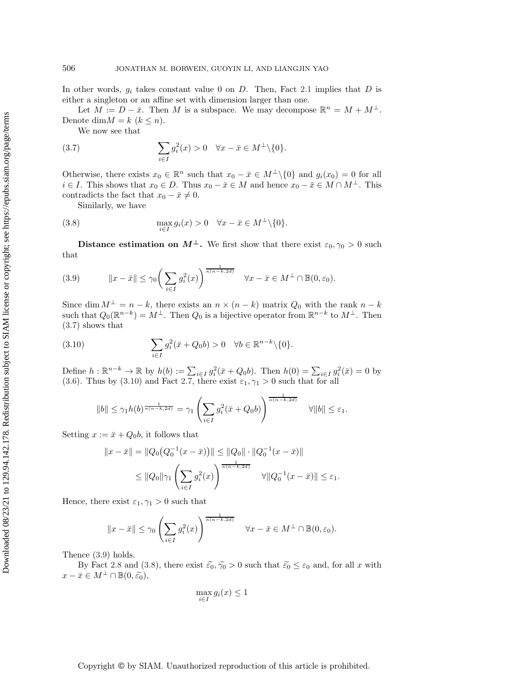In other words,  $g_i$  takes constant value 0 on D. Then, Fact [2.1](#page-2-1) implies that D is either a singleton or an affine set with dimension larger than one.

Let  $M := D - \bar{x}$ . Then M is a subspace. We may decompose  $\mathbb{R}^n = M + M^{\perp}$ . Denote dim  $M = k$   $(k \leq n)$ .

<span id="page-8-0"></span>We now see that

(3.7) 
$$
\sum_{i\in I} g_i^2(x) > 0 \quad \forall x - \bar{x} \in M^{\perp}\backslash\{0\}.
$$

Otherwise, there exists  $x_0 \in \mathbb{R}^n$  such that  $x_0 - \bar{x} \in M^{\perp} \setminus \{0\}$  and  $g_i(x_0) = 0$  for all  $i \in I$ . This shows that  $x_0 \in D$ . Thus  $x_0 - \bar{x} \in M$  and hence  $x_0 - \bar{x} \in M \cap M^{\perp}$ . This contradicts the fact that  $x_0 - \bar{x} \neq 0$ .

<span id="page-8-3"></span>Similarly, we have

(3.8) 
$$
\max_{i \in I} g_i(x) > 0 \quad \forall x - \bar{x} \in M^{\perp} \setminus \{0\}.
$$

<span id="page-8-2"></span>**Distance estimation on**  $M^{\perp}$ **.** We first show that there exist  $\varepsilon_0, \gamma_0 > 0$  such that

(3.9) 
$$
||x - \bar{x}|| \leq \gamma_0 \left( \sum_{i \in I} g_i^2(x) \right)^{\frac{1}{\kappa (n - k, 2d)}} \quad \forall x - \bar{x} \in M^\perp \cap \mathbb{B}(0, \varepsilon_0).
$$

Since dim  $M^{\perp} = n - k$ , there exists an  $n \times (n - k)$  matrix  $Q_0$  with the rank  $n - k$ such that  $Q_0(\mathbb{R}^{n-k}) = M^{\perp}$ . Then  $Q_0$  is a bijective operator from  $\mathbb{R}^{n-k}$  to  $M^{\perp}$ . Then [\(3.7\)](#page-8-0) shows that

<span id="page-8-1"></span>(3.10) 
$$
\sum_{i\in I} g_i^2(\bar{x} + Q_0 b) > 0 \quad \forall b \in \mathbb{R}^{n-k} \setminus \{0\}.
$$

Define  $h: \mathbb{R}^{n-k} \to \mathbb{R}$  by  $h(b) := \sum_{i \in I} g_i^2(\bar{x} + Q_0 b)$ . Then  $h(0) = \sum_{i \in I} g_i^2(\bar{x}) = 0$  by [\(3.6\)](#page-7-3). Thus by [\(3.10\)](#page-8-1) and Fact [2.7,](#page-3-2) there exist  $\varepsilon_1, \gamma_1 > 0$  such that for all

$$
||b|| \leq \gamma_1 h(b)^{\frac{1}{\kappa(n-k,2d)}} = \gamma_1 \left( \sum_{i \in I} g_i^2(\bar{x} + Q_0 b) \right)^{\frac{1}{\kappa(n-k,2d)}} \quad \forall ||b|| \leq \varepsilon_1.
$$

Setting  $x := \bar{x} + Q_0 b$ , it follows that

$$
||x - \bar{x}|| = ||Q_0(Q_0^{-1}(x - \bar{x}))|| \le ||Q_0|| \cdot ||Q_0^{-1}(x - \bar{x})||
$$
  

$$
\le ||Q_0||\gamma_1 \left(\sum_{i \in I} g_i^2(x)\right)^{\frac{1}{\kappa(n-k, 2d)}} \quad \forall ||Q_0^{-1}(x - \bar{x})|| \le \varepsilon_1.
$$

Hence, there exist  $\varepsilon_1, \gamma_1 > 0$  such that

$$
||x - \bar{x}|| \le \gamma_0 \left(\sum_{i \in I} g_i^2(x)\right)^{\frac{1}{\kappa(n-k,2d)}} \quad \forall x - \bar{x} \in M^{\perp} \cap \mathbb{B}(0,\varepsilon_0).
$$

Thence [\(3.9\)](#page-8-2) holds.

By Fact [2.8](#page-3-3) and [\(3.8\)](#page-8-3), there exist  $\tilde{\epsilon_0}, \tilde{\gamma_0} > 0$  such that  $\tilde{\epsilon_0} \leq \epsilon_0$  and, for all x with  $x - \bar{x} \in M^{\perp} \cap \mathbb{B}(0, \widetilde{\varepsilon_0}),$ 

$$
\max_{i \in I} g_i(x) \le 1
$$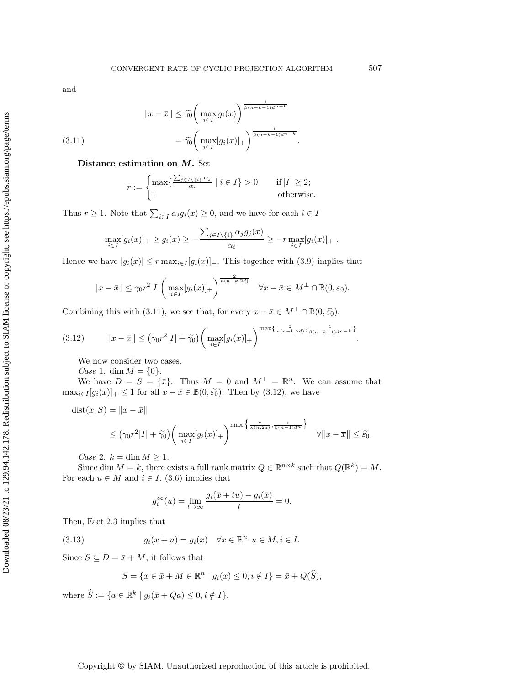and

<span id="page-9-0"></span>(3.11) 
$$
||x - \bar{x}|| \leq \widetilde{\gamma_0} \left( \max_{i \in I} g_i(x) \right)^{\frac{1}{\beta(n-k-1)d^{n-k}}}
$$

$$
= \widetilde{\gamma_0} \left( \max_{i \in I} [g_i(x)]_+ \right)^{\frac{1}{\beta(n-k-1)d^{n-k}}}.
$$

**Distance estimation on** *M***.** Set

$$
r := \begin{cases} \max \{ \frac{\sum_{j \in I \setminus \{i\}} \alpha_j}{\alpha_i} \mid i \in I \} > 0 & \text{if } |I| \ge 2; \\ 1 & \text{otherwise.} \end{cases}
$$

Thus  $r \geq 1$ . Note that  $\sum_{i \in I} \alpha_i g_i(x) \geq 0$ , and we have for each  $i \in I$ 

$$
\max_{i\in I}[g_i(x)]_+\geq g_i(x)\geq -\frac{\sum_{j\in I\setminus\{i\}}\alpha_jg_j(x)}{\alpha_i}\geq -r\max_{i\in I}[g_i(x)]_+\;.
$$

Hence we have  $|g_i(x)| \leq r \max_{i \in I} [g_i(x)]_+$ . This together with [\(3.9\)](#page-8-2) implies that

<span id="page-9-1"></span>
$$
||x - \bar{x}|| \leq \gamma_0 r^2 |I| \left( \max_{i \in I} [g_i(x)]_+ \right)^{\frac{2}{\kappa (n - k, 2d)}} \quad \forall x - \bar{x} \in M^\perp \cap \mathbb{B}(0, \varepsilon_0).
$$

Combining this with [\(3.11\)](#page-9-0), we see that, for every  $x - \bar{x} \in M^{\perp} \cap \mathbb{B}(0, \tilde{\varepsilon}_0)$ ,

$$
(3.12) \t\t ||x-\bar{x}|| \leq (\gamma_0 r^2 |I| + \tilde{\gamma_0}) \left( \max_{i \in I} [g_i(x)]_+ \right)^{\max\{\frac{2}{\kappa(n-k,2d)}, \frac{1}{\beta(n-k-1)d^{n-k}}\}}.
$$

We now consider two cases.

*Case* 1. dim  $M = \{0\}.$ 

We have  $D = S = {\bar{x}}$ . Thus  $M = 0$  and  $M^{\perp} = \mathbb{R}^n$ . We can assume that  $\max_{i \in I} [g_i(x)]_+ \leq 1$  for all  $x - \bar{x} \in \mathbb{B}(0, \tilde{\varepsilon}_0)$ . Then by [\(3.12\)](#page-9-1), we have

$$
dist(x, S) = ||x - \bar{x}||
$$
  
\n
$$
\leq (\gamma_0 r^2 |I| + \tilde{\gamma}_0) \left( \max_{i \in I} [g_i(x)]_+ \right)^{\max \left\{ \frac{2}{\kappa(n, 2d)}, \frac{1}{\beta(n-1)d^n} \right\}} \quad \forall ||x - \bar{x}|| \leq \tilde{\varepsilon}_0.
$$

*Case* 2.  $k = \dim M \ge 1$ .

Since dim  $M = k$ , there exists a full rank matrix  $Q \in \mathbb{R}^{n \times k}$  such that  $Q(\mathbb{R}^k) = M$ . For each  $u \in M$  and  $i \in I$ , [\(3.6\)](#page-7-3) implies that

<span id="page-9-2"></span>
$$
g_i^{\infty}(u) = \lim_{t \to \infty} \frac{g_i(\bar{x} + tu) - g_i(\bar{x})}{t} = 0.
$$

Then, Fact [2.3](#page-2-2) implies that

(3.13) 
$$
g_i(x+u) = g_i(x) \quad \forall x \in \mathbb{R}^n, u \in M, i \in I.
$$

Since  $S \subseteq D = \bar{x} + M$ , it follows that

$$
S = \{ x \in \bar{x} + M \in \mathbb{R}^n \mid g_i(x) \le 0, i \notin I \} = \bar{x} + Q(\widehat{S}),
$$

where  $\widehat{S} := \{a \in \mathbb{R}^k \mid g_i(\bar{x} + Qa) \leq 0, i \notin I\}.$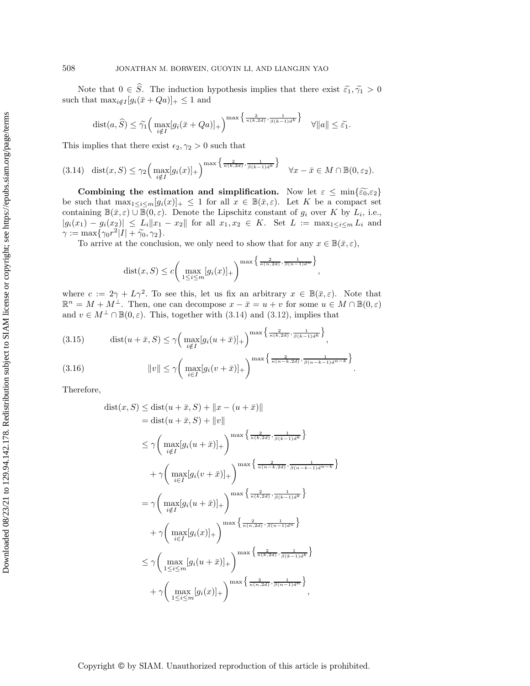Note that  $0 \in \widehat{S}$ . The induction hypothesis implies that there exist  $\widetilde{\varepsilon}_1, \widetilde{\gamma}_1 > 0$ such that  $\max_{i \notin I} [g_i(\bar{x} + Qa)]_+ \leq 1$  and

$$
\text{dist}(a,\widehat{S}) \leq \widetilde{\gamma_1} \Big( \max_{i \notin I} [g_i(\bar{x} + Qa)]_+ \Big)^{\max \big\{ \frac{2}{\kappa(k,2d)}, \frac{1}{\beta(k-1)d^k} \big\}} \quad \forall \|a\| \leq \widetilde{\varepsilon_1}.
$$

This implies that there exist  $\epsilon_2, \gamma_2 > 0$  such that

$$
(3.14) \quad \text{dist}(x, S) \leq \gamma_2 \Big( \max_{i \notin I} [g_i(x)]_+ \Big)^{\max \Big\{ \frac{2}{\kappa(k, 2d)}, \frac{1}{\beta(k-1)d^k} \Big\}} \quad \forall x - \bar{x} \in M \cap \mathbb{B}(0, \varepsilon_2).
$$

**Combining the estimation and simplification.** Now let  $\varepsilon \leq \min\{\tilde{\varepsilon}_0, \varepsilon_2\}$ be such that  $\max_{1 \leq i \leq m}[g_i(x)]_+ \leq 1$  for all  $x \in \mathbb{B}(\bar{x}, \varepsilon)$ . Let K be a compact set containing  $\mathbb{B}(\bar{x}, \varepsilon) \cup \mathbb{B}(0, \varepsilon)$ . Denote the Lipschitz constant of  $g_i$  over K by  $L_i$ , i.e.,  $|g_i(x_1) - g_i(x_2)| \leq L_i ||x_1 - x_2||$  for all  $x_1, x_2 \in K$ . Set  $L := \max_{1 \leq i \leq m} L_i$  and  $\gamma := \max\{\gamma_0 r^2 |I| + \widetilde{\gamma_0}, \gamma_2\}.$ 

To arrive at the conclusion, we only need to show that for any  $x \in \mathbb{B}(\bar{x}, \varepsilon)$ ,

$$
dist(x, S) \le c \left( \max_{1 \le i \le m} [g_i(x)]_+ \right)^{\max \left\{ \frac{2}{\kappa(n, 2d)}, \frac{1}{\beta(n-1)d^n} \right\}}
$$

<span id="page-10-0"></span>,

where  $c := 2\gamma + L\gamma^2$ . To see this, let us fix an arbitrary  $x \in \mathbb{B}(\bar{x}, \varepsilon)$ . Note that  $\mathbb{R}^n = M + M^{\perp}$ . Then, one can decompose  $x - \bar{x} = u + v$  for some  $u \in M \cap \mathbb{B}(0, \varepsilon)$ and  $v \in M^{\perp} \cap \mathbb{B}(0,\varepsilon)$ . This, together with [\(3.14\)](#page-10-0) and [\(3.12\)](#page-9-1), implies that

(3.15) 
$$
\text{dist}(u + \bar{x}, S) \le \gamma \Big( \max_{i \notin I} [g_i(u + \bar{x})]_+ \Big)^{\max \Big\{ \frac{2}{\kappa(k, 2d)}, \frac{1}{\beta(k-1)d^k} \Big\}},
$$
  
(3.16) 
$$
||v|| \le \gamma \Big( \max_{i \in I} [g_i(v + \bar{x})]_+ \Big)^{\max \Big\{ \frac{2}{\kappa(n-k, 2d)}, \frac{1}{\beta(n-k-1)d^{n-k}} \Big\}}.
$$

<span id="page-10-1"></span>Therefore,

$$
\begin{split}\n\text{dist}(x, S) &\leq \text{dist}(u + \bar{x}, S) + \|x - (u + \bar{x})\| \\
&= \text{dist}(u + \bar{x}, S) + \|v\| \\
&\leq \gamma \bigg(\max_{i \notin I} [g_i(u + \bar{x})]_+\bigg)^{\max\left\{\frac{2}{\kappa(k, 2d)}, \frac{1}{\beta(k-1)d^k}\right\}} \\
&\quad + \gamma \bigg(\max_{i \in I} [g_i(v + \bar{x})]_+\bigg)^{\max\left\{\frac{2}{\kappa(n-k, 2d)}, \frac{1}{\beta(n-k-1)d^{n-k}}\right\}} \\
&= \gamma \bigg(\max_{i \notin I} [g_i(u + \bar{x})]_+\bigg)^{\max\left\{\frac{2}{\kappa(k, 2d)}, \frac{1}{\beta(k-1)d^k}\right\}} \\
&\quad + \gamma \bigg(\max_{i \in I} [g_i(x)]_+\bigg)^{\max\left\{\frac{2}{\kappa(n, 2d)}, \frac{1}{\beta(n-1)d^n}\right\}} \\
&\leq \gamma \bigg(\max_{1 \leq i \leq m} [g_i(u + \bar{x})]_+\bigg)^{\max\left\{\frac{2}{\kappa(k, 2d)}, \frac{1}{\beta(k-1)d^k}\right\}} \\
&\quad + \gamma \bigg(\max_{1 \leq i \leq m} [g_i(x)]_+\bigg)^{\max\left\{\frac{2}{\kappa(n, 2d)}, \frac{1}{\beta(n-1)d^n}\right\}}\n\bigg),\n\end{split}
$$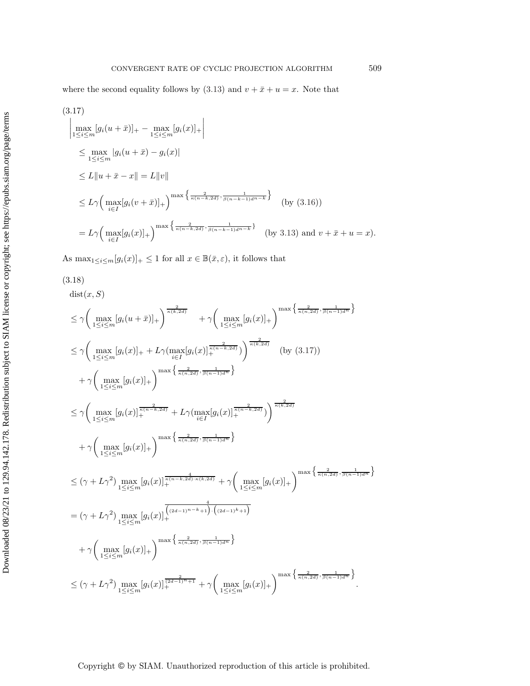<span id="page-11-0"></span>
$$
(3.17)
$$
\n
$$
\left| \max_{1 \leq i \leq m} [g_i(u + \bar{x})]_+ - \max_{1 \leq i \leq m} [g_i(x)]_+ \right|
$$
\n
$$
\leq \max_{1 \leq i \leq m} |g_i(u + \bar{x}) - g_i(x)|
$$
\n
$$
\leq L \|u + \bar{x} - x\| = L \|v\|
$$
\n
$$
\leq L \gamma \left( \max_{i \in I} [g_i(v + \bar{x})]_+ \right)^{\max \left\{ \frac{2}{\kappa(n - k, 2d)}, \frac{1}{\beta(n - k - 1)d^{n - k}} \right\}} \quad \text{(by (3.16))}
$$
\n
$$
= L \gamma \left( \max_{i \in I} [g_i(x)]_+ \right)^{\max \left\{ \frac{2}{\kappa(n - k, 2d)}, \frac{1}{\beta(n - k - 1)d^{n - k}} \right\}} \quad \text{(by 3.13) and } v + \bar{x} + u = x \right).
$$

As  $\max_{1 \leq i \leq m} [g_i(x)]_+ \leq 1$  for all  $x \in \mathbb{B}(\bar{x}, \varepsilon)$ , it follows that

<span id="page-11-1"></span>
$$
(3.18)
$$
\n
$$
\text{dist}(x, S)
$$
\n
$$
\leq \gamma \Big( \max_{1 \leq i \leq m} [g_i(u + \bar{x})]_+ \Big)^{\frac{2}{\kappa(k, 2d)}} + \gamma \Big( \max_{1 \leq i \leq m} [g_i(x)]_+ \Big)^{\max \Big\{ \frac{2}{\kappa(n, 2d)}, \frac{1}{\beta(n-1)d^n} \Big\}}
$$
\n
$$
\leq \gamma \Big( \max_{1 \leq i \leq m} [g_i(x)]_+ + L\gamma \Big( \max_{i \in I} [g_i(x)]_{\frac{\kappa}{k(n-k, 2d)}}^{\frac{2}{\kappa(k, 2d)}} \Big) \Big)^{\frac{2}{\kappa(k, 2d)}} \quad \text{(by (3.17))}
$$
\n
$$
+ \gamma \Big( \max_{1 \leq i \leq m} [g_i(x)]_+ \Big)^{\max \Big\{ \frac{2}{\kappa(n, 2d)}, \frac{2}{\beta(n-1)d^n} \Big\}}
$$
\n
$$
\leq \gamma \Big( \max_{1 \leq i \leq m} [g_i(x)]_{\frac{\kappa}{k}}^{\frac{2}{\kappa(k-2d)}} + L\gamma \Big( \max_{i \in I} [g_i(x)]_{\frac{\kappa}{k}}^{\frac{2}{\kappa(k-2d)}} \Big) \Big)^{\frac{2}{\kappa(k, 2d)}}
$$
\n
$$
+ \gamma \Big( \max_{1 \leq i \leq m} [g_i(x)]_+ \Big)^{\max \Big\{ \frac{2}{\kappa(n, 2d)}, \frac{1}{\beta(n-1)d^n} \Big\}}
$$
\n
$$
\leq (\gamma + L\gamma^2) \max_{1 \leq i \leq m} [g_i(x)]_{\frac{\kappa}{k}}^{\frac{4}{\kappa(k-2d)}, \frac{4}{\kappa(k, 2d)}} + \gamma \Big( \max_{1 \leq i \leq m} [g_i(x)]_+ \Big)^{\max \Big\{ \frac{2}{\kappa(n, 2d)}, \frac{1}{\beta(n-1)d^n} \Big\}}
$$
\n
$$
= (\gamma + L\gamma^2) \max_{1 \leq i \leq m} [g_i(x)]_{\frac{\kappa}{k}}^{\frac{2}{\kappa(k, 2d)}, \frac{1}{\beta(n-1)d^n} \Big\}
$$
\n<

Copyright  $\mathbb O$  by SIAM. Unauthorized reproduction of this article is prohibited.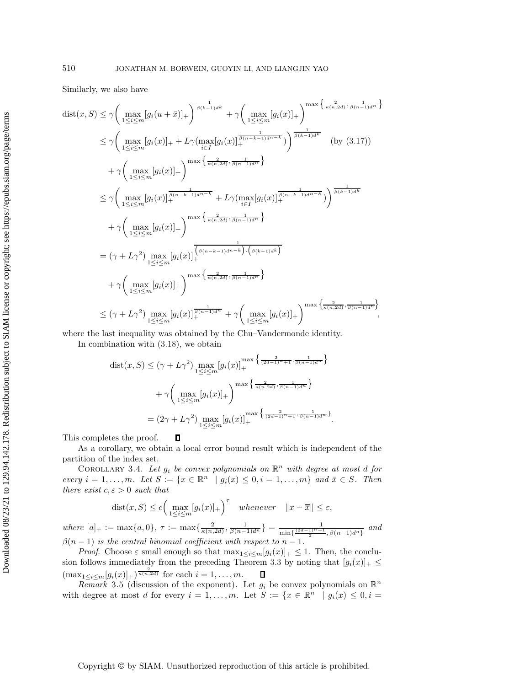Similarly, we also have

$$
\begin{split}\n\text{dist}(x, S) &\leq \gamma \bigg( \max_{1 \leq i \leq m} [g_i(u + \bar{x})]_+ \bigg) \frac{\frac{1}{\beta(k-1)d^k}}{s(k-1)d^k} + \gamma \bigg( \max_{1 \leq i \leq m} [g_i(x)]_+ \bigg) \frac{\max\left\{ \frac{2}{\kappa(n, 2d)}, \frac{1}{\beta(n-1)d^n} \right\}}{\frac{1}{\beta(k-1)d^k}} \\
&\leq \gamma \bigg( \max_{1 \leq i \leq m} [g_i(x)]_+ + L\gamma (\max_{i \in I} [g_i(x)]_+^{\frac{1}{\beta(n-k-1)d^{n-k}}}) \bigg) \frac{\frac{1}{\beta(k-1)d^k}}{\beta(k-1)d^k} \quad \text{(by (3.17))} \\
&+ \gamma \bigg( \max_{1 \leq i \leq m} [g_i(x)]_+ \bigg) \frac{\max\left\{ \frac{2}{\kappa(n, 2d)}, \frac{1}{\beta(n-1)d^n} \right\}}{\frac{1}{\kappa(n, 2d)}, \frac{1}{\beta(n-k-1)d^n}} \bigg) \frac{\frac{1}{\beta(k-1)d^k}}{\beta(k-1)d^k} \\
&+ \gamma \bigg( \max_{1 \leq i \leq m} [g_i(x)]_+ \bigg) \frac{\max\left\{ \frac{2}{\kappa(n, 2d)}, \frac{1}{\beta(n-1)d^n} \right\}}{\frac{1}{\kappa(n, 2d)}, \frac{1}{\beta(n-1)d^n}} \bigg) \\
&+ \gamma \bigg( \max_{1 \leq i \leq m} [g_i(x)]_+ \bigg) \frac{\max\left\{ \frac{2}{\kappa(n, 2d)}, \frac{1}{\beta(n-1)d^n} \right\}}{\frac{2}{\kappa(n, 2d)}, \frac{1}{\beta(n-1)d^n}} \bigg) \\
&+ \gamma \bigg( \max_{1 \leq i \leq m} [g_i(x)]_+ \bigg) \frac{\max\left\{ \frac{2}{\kappa(n, 2d)}, \frac{1}{\beta(n-1)d^n} \right\}}{\frac{2}{\kappa(n, 2d)}, \frac{1}{\beta(n-1)d^n}} \bigg) \frac{\max\left\{ \frac{2}{\kappa(n, 2d)}, \frac{1}{\beta(n-1)d^n} \right\}}{\frac{1}{
$$

where the last inequality was obtained by the Chu–Vandermonde identity.

In combination with [\(3.18\)](#page-11-1), we obtain

$$
\begin{split} \text{dist}(x, S) &\leq (\gamma + L\gamma^2) \max_{1 \leq i \leq m} [g_i(x)]_+^{\max\left\{\frac{2}{(2d-1)n+1}, \frac{1}{\beta(n-1)d^n}\right\}} \\ &+ \gamma \bigg(\max_{1 \leq i \leq m} [g_i(x)]_+\bigg)^{\max\left\{\frac{2}{\kappa(n, 2d)}, \frac{1}{\beta(n-1)d^n}\right\}} \\ &= (2\gamma + L\gamma^2) \max_{1 \leq i \leq m} [g_i(x)]_+^{\max\left\{\frac{2}{(2d-1)n+1}, \frac{1}{\beta(n-1)d^n}\right\}}. \end{split}
$$

This completes the proof. Д

As a corollary, we obtain a local error bound result which is independent of the partition of the index set.

<span id="page-12-0"></span>COROLLARY 3.4. Let  $g_i$  be convex polynomials on  $\mathbb{R}^n$  with degree at most d for *every*  $i = 1, ..., m$ *. Let*  $S := \{x \in \mathbb{R}^n \mid g_i(x) \leq 0, i = 1, ..., m\}$  and  $\bar{x} \in S$ *. Then there exist*  $c, \varepsilon > 0$  *such that* 

$$
dist(x, S) \le c \Big(\max_{1 \le i \le m} [g_i(x)]_+\Big)^{\tau} \quad whenever \quad ||x - \overline{x}|| \le \varepsilon,
$$

 $where [a]_+ := \max\{a, 0\}, \tau := \max\{\frac{2}{\kappa(n, 2d)}, \frac{1}{\beta(n-1)d^n}\} = \frac{1}{\min\{\frac{(2d-1)^n+1}{2}, \beta(n-1)d^n\}}$ *and*  $\beta(n-1)$  *is the central binomial coefficient with respect to*  $n-1$ *.* 

*Proof.* Choose  $\varepsilon$  small enough so that  $\max_{1 \leq i \leq m} [g_i(x)]_+ \leq 1$ . Then, the conclu-sion follows immediately from the preceding Theorem [3.3](#page-6-2) by noting that  $[g_i(x)]_+ \leq$  $(\max_{1 \leq i \leq m} [g_i(x)]_+)^{\frac{2}{\kappa(n,2d)}}$  for each  $i = 1, ..., m$ .  $\Box$ 

*Remark* 3.5 (discussion of the exponent). Let  $g_i$  be convex polynomials on  $\mathbb{R}^n$ with degree at most d for every  $i = 1, \ldots, m$ . Let  $S := \{x \in \mathbb{R}^n \mid g_i(x) \leq 0, i =$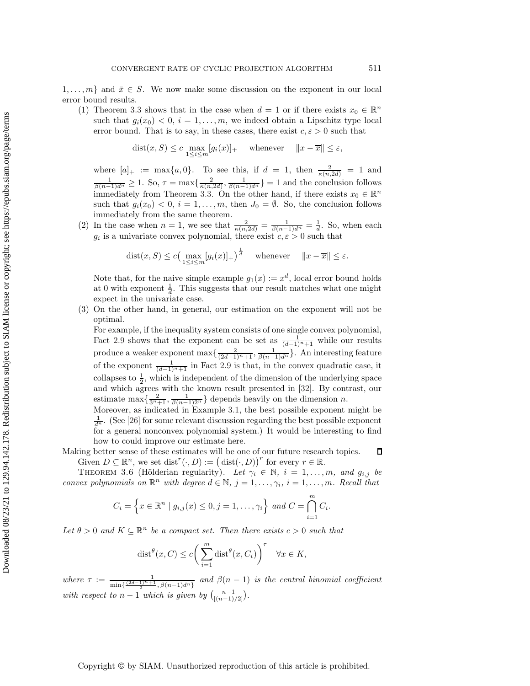$1,\ldots,m$  and  $\bar{x} \in S$ . We now make some discussion on the exponent in our local error bound results.

(1) Theorem [3.3](#page-6-2) shows that in the case when  $d = 1$  or if there exists  $x_0 \in \mathbb{R}^n$ such that  $g_i(x_0) < 0, i = 1,...,m$ , we indeed obtain a Lipschitz type local error bound. That is to say, in these cases, there exist  $c, \varepsilon > 0$  such that

$$
dist(x, S) \le c \max_{1 \le i \le m} [g_i(x)]_+ \quad \text{whenever} \quad ||x - \overline{x}|| \le \varepsilon,
$$

where  $[a]_+ := \max\{a, 0\}$ . To see this, if  $d = 1$ , then  $\frac{2}{\kappa(n, 2d)} = 1$  and  $\frac{1}{\beta(n-1)d^n} \ge 1$ . So,  $\tau = \max\{\frac{2}{\kappa(n, 2d)}, \frac{1}{\beta(n-1)d^n}\} = 1$  and the conclusion follows immediately from Theorem [3.3.](#page-6-2) On the other hand, if there exists  $x_0 \in \mathbb{R}^n$ such that  $g_i(x_0) < 0, i = 1,...,m$ , then  $J_0 = \emptyset$ . So, the conclusion follows immediately from the same theorem.

(2) In the case when  $n = 1$ , we see that  $\frac{2}{\kappa(n,2d)} = \frac{1}{\beta(n-1)d^n} = \frac{1}{d}$ . So, when each  $g_i$  is a univariate convex polynomial, there exist  $c, \varepsilon > 0$  such that

dist
$$
(x, S) \le c \Big( \max_{1 \le i \le m} [g_i(x)]_+ \Big)^{\frac{1}{d}}
$$
 whenever  $||x - \overline{x}|| \le \varepsilon$ .

Note that, for the naive simple example  $g_1(x) := x^d$ , local error bound holds at 0 with exponent  $\frac{1}{d}$ . This suggests that our result matches what one might expect in the univariate case.

(3) On the other hand, in general, our estimation on the exponent will not be optimal.

For example, if the inequality system consists of one single convex polynomial, Fact [2.9](#page-3-4) shows that the exponent can be set as  $\frac{1}{(d-1)^n+1}$  while our results produce a weaker exponent max $\{\frac{2}{(2d-1)^n+1}, \frac{1}{\beta(n-1)d^n}\}$ . An interesting feature of the exponent  $\frac{1}{(d-1)^n+1}$  in Fact [2.9](#page-3-4) is that, in the convex quadratic case, it collapses to  $\frac{1}{2}$ , which is independent of the dimension of the underlying space and which agrees with the known result presented in [\[32\]](#page-29-28). By contrast, our estimate max $\{\frac{2}{3^n+1}, \frac{1}{\beta(n-1)2^n}\}$  depends heavily on the dimension *n*.

Moreover, as indicated in Example [3.1,](#page-5-1) the best possible exponent might be  $\frac{1}{d^n}$ . (See [\[26\]](#page-29-18) for some relevant discussion regarding the best possible exponent for a general nonconvex polynomial system.) It would be interesting to find how to could improve our estimate here.

Making better sense of these estimates will be one of our future research topics.  $\Box$ Given  $D \subseteq \mathbb{R}^n$ , we set  $dist^r(\cdot, D) := (\text{dist}(\cdot, D))^r$  for every  $r \in \mathbb{R}$ .

<span id="page-13-0"></span>THEOREM 3.6 (Hölderian regularity). Let  $\gamma_i \in \mathbb{N}$ ,  $i = 1, \ldots, m$ , and  $g_{i,j}$  be *convex polynomials on*  $\mathbb{R}^n$  *with degree*  $d \in \mathbb{N}$ *,*  $j = 1, \ldots, \gamma_i$ *,*  $i = 1, \ldots, m$ *. Recall that* 

$$
C_i = \left\{ x \in \mathbb{R}^n \mid g_{i,j}(x) \leq 0, j = 1, \dots, \gamma_i \right\} \text{ and } C = \bigcap_{i=1}^m C_i.
$$

Let  $\theta > 0$  and  $K \subseteq \mathbb{R}^n$  be a compact set. Then there exists  $c > 0$  such that

$$
\text{dist}^{\theta}(x, C) \le c \bigg( \sum_{i=1}^{m} \text{dist}^{\theta}(x, C_i) \bigg)^{\tau} \quad \forall x \in K,
$$

where  $\tau := \frac{1}{\min\{\frac{(2d-1)^n+1}{2}, \beta(n-1)d^n\}}$  and  $\beta(n-1)$  is the central binomial coefficient *with respect to*  $n-1$  *which is given by*  $\binom{n-1}{[(n-1)/2]}$ .

## Copyright © by SIAM. Unauthorized reproduction of this article is prohibited.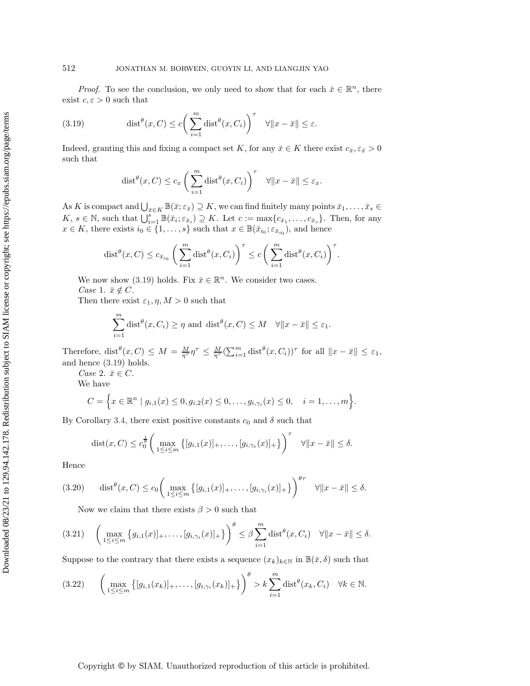*Proof.* To see the conclusion, we only need to show that for each  $\bar{x} \in \mathbb{R}^n$ , there exist  $c, \varepsilon > 0$  such that

(3.19) 
$$
\text{dist}^{\theta}(x, C) \le c \bigg( \sum_{i=1}^{m} \text{dist}^{\theta}(x, C_i) \bigg)^{\tau} \quad \forall \|x - \bar{x}\| \le \varepsilon.
$$

Indeed, granting this and fixing a compact set K, for any  $\bar{x} \in K$  there exist  $c_{\bar{x}}, \varepsilon_{\bar{x}}>0$ such that

<span id="page-14-0"></span>
$$
\text{dist}^{\theta}(x, C) \le c_x \left( \sum_{i=1}^m \text{dist}^{\theta}(x, C_i) \right)^{\tau} \quad \forall \|x - \bar{x}\| \le \varepsilon_x.
$$

As K is compact and  $\bigcup_{\bar{x}\in K}\mathbb{B}(\bar{x};\varepsilon_{\bar{x}})\supseteq K$ , we can find finitely many points  $\bar{x}_1,\ldots,\bar{x}_s\in$  $K, s \in \mathbb{N}$ , such that  $\bigcup_{i=1}^{s} \mathbb{B}(\bar{x}_i; \varepsilon_{\bar{x}_i}) \supseteq K$ . Let  $c := \max\{c_{\bar{x}_1}, \ldots, c_{\bar{x}_s}\}$ . Then, for any  $x \in K$ , there exists  $i_0 \in \{1, \ldots, s\}$  such that  $x \in \mathbb{B}(\bar{x}_{i_0}; \varepsilon_{\bar{x}_{i_0}})$ , and hence

$$
\text{dist}^{\theta}(x, C) \le c_{\bar{x}_{i_0}} \left( \sum_{i=1}^m \text{dist}^{\theta}(x, C_i) \right)^{\tau} \le c \left( \sum_{i=1}^m \text{dist}^{\theta}(x, C_i) \right)^{\tau}.
$$

We now show [\(3.19\)](#page-14-0) holds. Fix  $\bar{x} \in \mathbb{R}^n$ . We consider two cases. *Case* 1.  $\bar{x} \notin C$ .

Then there exist  $\varepsilon_1$ ,  $\eta$ ,  $M > 0$  such that

$$
\sum_{i=1}^{m} \text{dist}^{\theta}(x, C_i) \ge \eta \text{ and } \text{dist}^{\theta}(x, C) \le M \quad \forall \|x - \bar{x}\| \le \varepsilon_1.
$$

Therefore, dist<sup> $\theta$ </sup> $(x, C) \leq M = \frac{M}{\eta^{\tau}} \eta^{\tau} \leq \frac{M}{\eta^{\tau}} \left( \sum_{i=1}^{m} \text{dist}^{\theta} (x, C_i) \right)^{\tau}$  for all  $||x - \bar{x}|| \leq \varepsilon_1$ , and hence [\(3.19\)](#page-14-0) holds.

*Case* 2.  $\bar{x} \in C$ .

We have

$$
C = \Big\{ x \in \mathbb{R}^n \mid g_{i,1}(x) \leq 0, g_{i,2}(x) \leq 0, \ldots, g_{i,\gamma_i}(x) \leq 0, \quad i = 1, \ldots, m \Big\}.
$$

By Corollary [3.4,](#page-12-0) there exist positive constants  $c_0$  and  $\delta$  such that

$$
\text{dist}(x, C) \le c_0^{\frac{1}{\theta}} \bigg( \max_{1 \le i \le m} \left\{ [g_{i,1}(x)]_+, \dots, [g_{i,\gamma_i}(x)]_+ \right\} \bigg)^{\tau} \quad \forall \|x - \bar{x}\| \le \delta.
$$

Hence

<span id="page-14-3"></span>
$$
(3.20) \quad \text{dist}^{\theta}(x, C) \le c_0 \bigg( \max_{1 \le i \le m} \left\{ [g_{i,1}(x)]_+, \dots, [g_{i,\gamma_i}(x)]_+ \right\} \bigg)^{\theta \tau} \quad \forall \|x - \bar{x}\| \le \delta.
$$

Now we claim that there exists  $\beta > 0$  such that

<span id="page-14-2"></span>
$$
(3.21) \quad \left(\max_{1\leq i\leq m}\left\{g_{i,1}(x)\right]_+,\ldots,\left[g_{i,\gamma_i}(x)\right]_+\right\}\right)^{\theta}\leq \beta\sum_{i=1}^m \text{dist}^{\theta}(x,C_i) \quad \forall \|x-\bar{x}\|\leq \delta.
$$

Suppose to the contrary that there exists a sequence  $(x_k)_{k\in\mathbb{N}}$  in  $\mathbb{B}(\bar{x}, \delta)$  such that

<span id="page-14-1"></span>
$$
(3.22) \qquad \left(\max_{1\leq i\leq m}\left\{[g_{i,1}(x_k)]_+,\ldots,[g_{i,\gamma_i}(x_k)]_+\right\}\right)^{\theta} > k\sum_{i=1}^m \text{dist}^{\theta}(x_k,C_i) \quad \forall k\in\mathbb{N}.
$$

### Copyright © by SIAM. Unauthorized reproduction of this article is prohibited.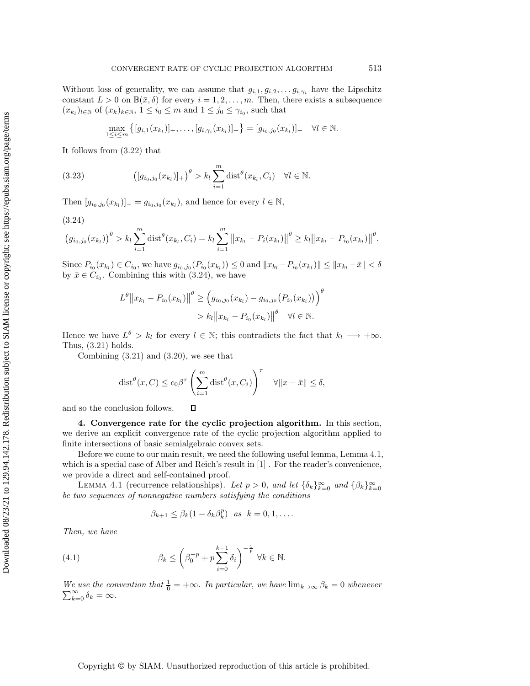Without loss of generality, we can assume that  $g_{i,1}, g_{i,2}, \ldots, g_{i,\gamma_i}$  have the Lipschitz constant  $L > 0$  on  $\mathbb{B}(\bar{x}, \delta)$  for every  $i = 1, 2, ..., m$ . Then, there exists a subsequence  $(x_{k_l})_{l \in \mathbb{N}}$  of  $(x_k)_{k \in \mathbb{N}}$ ,  $1 \leq i_0 \leq m$  and  $1 \leq j_0 \leq \gamma_{i_0}$ , such that

$$
\max_{1 \leq i \leq m} \left\{ [g_{i,1}(x_{k_i})]_+, \ldots, [g_{i,\gamma_i}(x_{k_i})]_+ \right\} = [g_{i_0,j_0}(x_{k_i})]_+ \quad \forall l \in \mathbb{N}.
$$

It follows from [\(3.22\)](#page-14-1) that

(3.23) 
$$
\left( [g_{i_0,j_0}(x_{k_l})]_+ \right)^{\theta} > k_l \sum_{i=1}^m \text{dist}^{\theta}(x_{k_l}, C_i) \quad \forall l \in \mathbb{N}.
$$

Then  $[g_{i_0,j_0}(x_{k_l})]_+ = g_{i_0,j_0}(x_{k_l})$ , and hence for every  $l \in \mathbb{N}$ ,

<span id="page-15-1"></span>(3.24)

$$
(g_{i_0,j_0}(x_{k_l}))^{\theta} > k_l \sum_{i=1}^m \text{dist}^{\theta}(x_{k_l},C_i) = k_l \sum_{i=1}^m ||x_{k_l} - P_i(x_{k_l})||^{\theta} \ge k_l ||x_{k_l} - P_{i_0}(x_{k_l})||^{\theta}.
$$

Since  $P_{i_0}(x_{k_l}) \in C_{i_0}$ , we have  $g_{i_0,j_0}(P_{i_0}(x_{k_l})) \leq 0$  and  $||x_{k_l} - P_{i_0}(x_{k_l})|| \leq ||x_{k_l} - \bar{x}|| < \delta$ by  $\bar{x} \in C_{i_0}$ . Combining this with [\(3.24\)](#page-15-1), we have

$$
L^{\theta} \|x_{k_l} - P_{i_0}(x_{k_l})\|^{\theta} \geq \left(g_{i_0,j_0}(x_{k_l}) - g_{i_0,j_0}(P_{i_0}(x_{k_l}))\right)^{\theta}
$$
  
>  $k_l \|x_{k_l} - P_{i_0}(x_{k_l})\|^{\theta} \quad \forall l \in \mathbb{N}.$ 

Hence we have  $L^{\theta} > k_l$  for every  $l \in \mathbb{N}$ ; this contradicts the fact that  $k_l \longrightarrow +\infty$ . Thus, [\(3.21\)](#page-14-2) holds.

Combining [\(3.21\)](#page-14-2) and [\(3.20\)](#page-14-3), we see that

$$
\operatorname{dist}^{\theta}(x, C) \le c_0 \beta^{\tau} \left( \sum_{i=1}^{m} \operatorname{dist}^{\theta}(x, C_i) \right)^{\tau} \quad \forall \|x - \bar{x}\| \le \delta,
$$

 $\Box$ 

<span id="page-15-0"></span>and so the conclusion follows.

**4. Convergence rate for the cyclic projection algorithm.** In this section, we derive an explicit convergence rate of the cyclic projection algorithm applied to finite intersections of basic semialgebraic convex sets.

Before we come to our main result, we need the following useful lemma, Lemma [4.1,](#page-15-2) which is a special case of Alber and Reich's result in [\[1\]](#page-28-12) . For the reader's convenience, we provide a direct and self-contained proof.

<span id="page-15-2"></span>LEMMA 4.1 (recurrence relationships). Let  $p > 0$ , and let  $\{\delta_k\}_{k=0}^{\infty}$  and  $\{\beta_k\}_{k=0}^{\infty}$ *be two sequences of nonnegative numbers satisfying the conditions*

<span id="page-15-3"></span>
$$
\beta_{k+1} \leq \beta_k (1 - \delta_k \beta_k^p) \quad \text{as} \quad k = 0, 1, \dots
$$

*Then, we have*

(4.1) 
$$
\beta_k \leq \left(\beta_0^{-p} + p \sum_{i=0}^{k-1} \delta_i\right)^{-\frac{1}{p}} \forall k \in \mathbb{N}.
$$

*We use the convention that*  $\frac{1}{0}$ We use the convention that  $\frac{1}{0} = +\infty$ . In particular, we have  $\lim_{k \to \infty} \beta_k = 0$  whenever  $\sum_{k=0}^{\infty} \delta_k = \infty$ .  $\sum_{k=0}^{\infty} \delta_k = \infty.$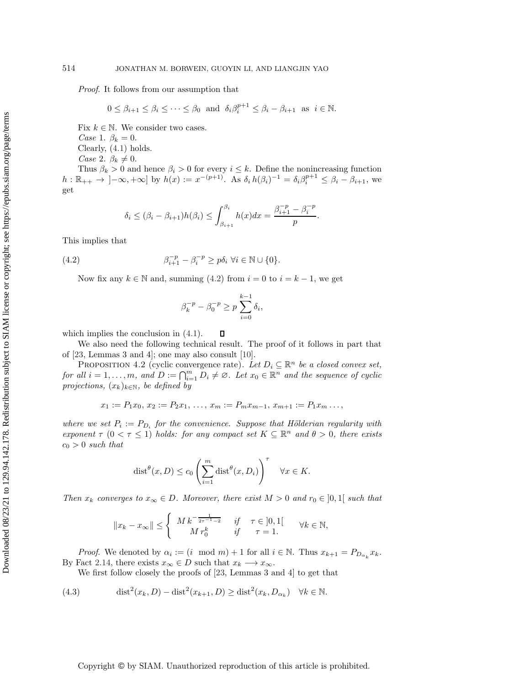*Proof*. It follows from our assumption that

$$
0 \le \beta_{i+1} \le \beta_i \le \dots \le \beta_0 \text{ and } \delta_i \beta_i^{p+1} \le \beta_i - \beta_{i+1} \text{ as } i \in \mathbb{N}.
$$

Fix  $k \in \mathbb{N}$ . We consider two cases.

*Case* 1.  $\beta_k = 0$ .

Clearly, [\(4.1\)](#page-15-3) holds.

*Case* 2.  $\beta_k \neq 0$ .

Thus  $\beta_k > 0$  and hence  $\beta_i > 0$  for every  $i \leq k$ . Define the nonincreasing function  $h : \mathbb{R}_{++} \to ]-\infty, +\infty]$  by  $h(x) := x^{-(p+1)}$ . As  $\delta_i h(\beta_i)^{-1} = \delta_i \beta_i^{p+1} \leq \beta_i - \beta_{i+1}$ , we get

<span id="page-16-1"></span>
$$
\delta_i \leq (\beta_i - \beta_{i+1})h(\beta_i) \leq \int_{\beta_{i+1}}^{\beta_i} h(x)dx = \frac{\beta_{i+1}^{-p} - \beta_i^{-p}}{p}.
$$

This implies that

(4.2) 
$$
\beta_{i+1}^{-p} - \beta_i^{-p} \ge p\delta_i \ \forall i \in \mathbb{N} \cup \{0\}.
$$

Now fix any  $k \in \mathbb{N}$  and, summing [\(4.2\)](#page-16-1) from  $i = 0$  to  $i = k - 1$ , we get

$$
\beta_k^{-p} - \beta_0^{-p} \ge p \sum_{i=0}^{k-1} \delta_i,
$$

which implies the conclusion in  $(4.1)$ .

口 We also need the following technical result. The proof of it follows in part that of [\[23,](#page-29-5) Lemmas 3 and 4]; one may also consult [\[10\]](#page-28-5).

<span id="page-16-0"></span>PROPOSITION 4.2 (cyclic convergence rate). Let  $D_i \subseteq \mathbb{R}^n$  *be a closed convex set, for all*  $i = 1, ..., m$ , and  $D := \bigcap_{i=1}^{m} D_i \neq \emptyset$ . Let  $x_0 \in \mathbb{R}^n$  and the sequence of cyclic *projections,*  $(x_k)_{k \in \mathbb{N}}$ *, be defined by* 

$$
x_1 := P_1 x_0, x_2 := P_2 x_1, \ldots, x_m := P_m x_{m-1}, x_{m+1} := P_1 x_m \ldots,
$$

*where we set*  $P_i := P_{D_i}$  *for the convenience. Suppose that Hölderian regularity with exponent*  $\tau$  (0 <  $\tau$  ≤ 1) *holds:* for any compact set  $K \subseteq \mathbb{R}^n$  and  $\theta > 0$ , there exists  $c_0 > 0$  *such that* 

$$
\text{dist}^{\theta}(x, D) \le c_0 \left(\sum_{i=1}^m \text{dist}^{\theta}(x, D_i)\right)^{\tau} \quad \forall x \in K.
$$

*Then*  $x_k$  *converges to*  $x_\infty \in D$ *. Moreover, there exist*  $M > 0$  *and*  $r_0 \in [0,1]$  *such that* 

$$
||x_k - x_{\infty}|| \le \begin{cases} M k^{-\frac{1}{2\tau - 1 - 2}} & \text{if } \tau \in ]0, 1[ \\ M r_0^k & \text{if } \tau = 1. \end{cases} \forall k \in \mathbb{N},
$$

*Proof.* We denoted by  $\alpha_i := (i \mod m) + 1$  for all  $i \in \mathbb{N}$ . Thus  $x_{k+1} = P_{D_{\alpha_k}} x_k$ . By Fact [2.14,](#page-5-2) there exists  $x_{\infty} \in D$  such that  $x_k \longrightarrow x_{\infty}$ .

We first follow closely the proofs of [\[23,](#page-29-5) Lemmas 3 and 4] to get that

<span id="page-16-2"></span>(4.3) 
$$
\operatorname{dist}^2(x_k, D) - \operatorname{dist}^2(x_{k+1}, D) \ge \operatorname{dist}^2(x_k, D_{\alpha_k}) \quad \forall k \in \mathbb{N}.
$$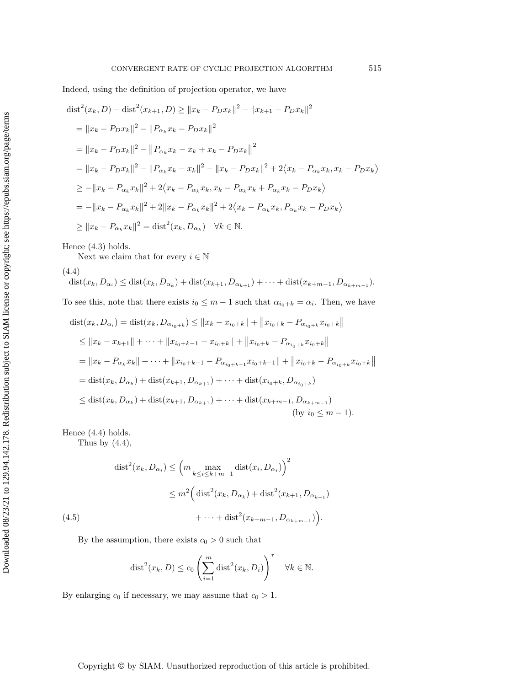Indeed, using the definition of projection operator, we have

$$
\text{dist}^{2}(x_{k}, D) - \text{dist}^{2}(x_{k+1}, D) \geq ||x_{k} - P_{D}x_{k}||^{2} - ||x_{k+1} - P_{D}x_{k}||^{2}
$$
\n
$$
= ||x_{k} - P_{D}x_{k}||^{2} - ||P_{\alpha_{k}}x_{k} - P_{D}x_{k}||^{2}
$$
\n
$$
= ||x_{k} - P_{D}x_{k}||^{2} - ||P_{\alpha_{k}}x_{k} - x_{k} + x_{k} - P_{D}x_{k}||^{2}
$$
\n
$$
= ||x_{k} - P_{D}x_{k}||^{2} - ||P_{\alpha_{k}}x_{k} - x_{k}||^{2} - ||x_{k} - P_{D}x_{k}||^{2} + 2\langle x_{k} - P_{\alpha_{k}}x_{k}, x_{k} - P_{D}x_{k}\rangle
$$
\n
$$
\geq -||x_{k} - P_{\alpha_{k}}x_{k}||^{2} + 2\langle x_{k} - P_{\alpha_{k}}x_{k}, x_{k} - P_{\alpha_{k}}x_{k} + P_{\alpha_{k}}x_{k} - P_{D}x_{k}\rangle
$$
\n
$$
= -||x_{k} - P_{\alpha_{k}}x_{k}||^{2} + 2||x_{k} - P_{\alpha_{k}}x_{k}||^{2} + 2\langle x_{k} - P_{\alpha_{k}}x_{k}, P_{\alpha_{k}}x_{k} - P_{D}x_{k}\rangle
$$
\n
$$
\geq ||x_{k} - P_{\alpha_{k}}x_{k}||^{2} = \text{dist}^{2}(x_{k}, D_{\alpha_{k}}) \quad \forall k \in \mathbb{N}.
$$

Hence [\(4.3\)](#page-16-2) holds.

<span id="page-17-0"></span>Next we claim that for every  $i\in\mathbb{N}$ 

(4.4)

$$
\text{dist}(x_k, D_{\alpha_i}) \leq \text{dist}(x_k, D_{\alpha_k}) + \text{dist}(x_{k+1}, D_{\alpha_{k+1}}) + \dots + \text{dist}(x_{k+m-1}, D_{\alpha_{k+m-1}}).
$$
\nTo see this, note that there exists  $i_0 \leq m-1$  such that  $\alpha_{i_0+k} = \alpha_i$ . Then, we have

$$
\text{dist}(x_k, D_{\alpha_i}) = \text{dist}(x_k, D_{\alpha_{i_0+k}}) \le ||x_k - x_{i_0+k}|| + ||x_{i_0+k} - P_{\alpha_{i_0+k}}x_{i_0+k}||
$$
\n
$$
\le ||x_k - x_{k+1}|| + \dots + ||x_{i_0+k-1} - x_{i_0+k}|| + ||x_{i_0+k} - P_{\alpha_{i_0+k}}x_{i_0+k}||
$$
\n
$$
= ||x_k - P_{\alpha_k}x_k|| + \dots + ||x_{i_0+k-1} - P_{\alpha_{i_0+k-1}}x_{i_0+k-1}|| + ||x_{i_0+k} - P_{\alpha_{i_0+k}}x_{i_0+k}||
$$
\n
$$
= \text{dist}(x_k, D_{\alpha_k}) + \text{dist}(x_{k+1}, D_{\alpha_{k+1}}) + \dots + \text{dist}(x_{i_0+k}, D_{\alpha_{i_0+k}})
$$
\n
$$
\le \text{dist}(x_k, D_{\alpha_k}) + \text{dist}(x_{k+1}, D_{\alpha_{k+1}}) + \dots + \text{dist}(x_{k+m-1}, D_{\alpha_{k+m-1}})
$$
\n
$$
\text{(by } i_0 \le m - 1\text{)}.
$$

Hence [\(4.4\)](#page-17-0) holds.

Thus by  $(4.4)$ ,

(4.5)  
\n
$$
\text{dist}^{2}(x_{k}, D_{\alpha_{i}}) \leq \left(m \max_{k \leq i \leq k+m-1} \text{dist}(x_{i}, D_{\alpha_{i}})\right)^{2}
$$
\n
$$
\leq m^{2} \left(\text{dist}^{2}(x_{k}, D_{\alpha_{k}}) + \text{dist}^{2}(x_{k+1}, D_{\alpha_{k+1}})\right)
$$
\n
$$
+ \dots + \text{dist}^{2}(x_{k+m-1}, D_{\alpha_{k+m-1}})\right).
$$

<span id="page-17-1"></span>By the assumption, there exists  $c_0 > 0$  such that

$$
\text{dist}^2(x_k, D) \le c_0 \left( \sum_{i=1}^m \text{dist}^2(x_k, D_i) \right)^{\tau} \quad \forall k \in \mathbb{N}.
$$

By enlarging  $c_0$  if necessary, we may assume that  $c_0 > 1$ .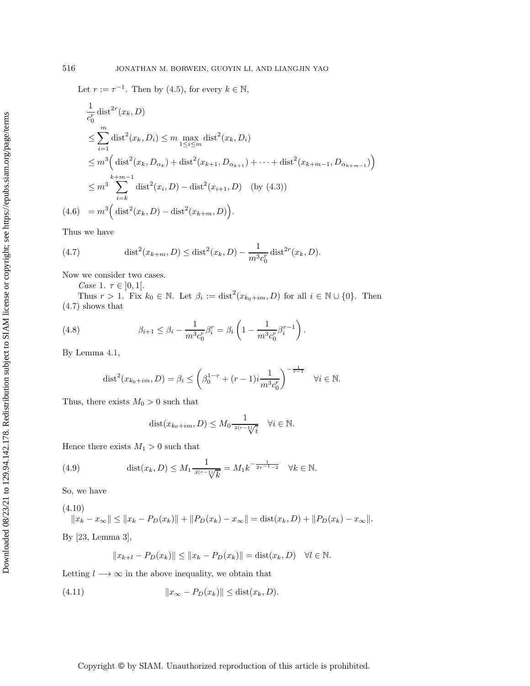Let  $r := \tau^{-1}$ . Then by [\(4.5\)](#page-17-1), for every  $k \in \mathbb{N}$ ,

$$
\frac{1}{c_0^r} \text{dist}^{2r}(x_k, D)
$$
\n
$$
\leq \sum_{i=1}^m \text{dist}^2(x_k, D_i) \leq m \max_{1 \leq i \leq m} \text{dist}^2(x_k, D_i)
$$
\n
$$
\leq m^3 \left( \text{dist}^2(x_k, D_{\alpha_k}) + \text{dist}^2(x_{k+1}, D_{\alpha_{k+1}}) + \dots + \text{dist}^2(x_{k+m-1}, D_{\alpha_{k+m-1}}) \right)
$$
\n
$$
\leq m^3 \sum_{i=k}^{k+m-1} \text{dist}^2(x_i, D) - \text{dist}^2(x_{i+1}, D) \quad \text{(by (4.3))}
$$
\n
$$
(4.6) = m^3 \left( \text{dist}^2(x_k, D) - \text{dist}^2(x_{k+m}, D) \right).
$$

Thus we have

<span id="page-18-0"></span>(4.7) 
$$
\text{dist}^2(x_{k+m}, D) \leq \text{dist}^2(x_k, D) - \frac{1}{m^3 c_0^r} \text{dist}^{2r}(x_k, D).
$$

Now we consider two cases.

*Case* 1.  $\tau \in ]0,1[$ .

Thus  $r > 1$ . Fix  $k_0 \in \mathbb{N}$ . Let  $\beta_i := \text{dist}^2(x_{k_0+im}, D)$  for all  $i \in \mathbb{N} \cup \{0\}$ . Then [\(4.7\)](#page-18-0) shows that

(4.8) 
$$
\beta_{i+1} \leq \beta_i - \frac{1}{m^3 c_0^r} \beta_i^r = \beta_i \left( 1 - \frac{1}{m^3 c_0^r} \beta_i^{r-1} \right).
$$

By Lemma [4.1,](#page-15-2)

dist<sup>2</sup>(x<sub>k<sub>0</sub>+im, D) = 
$$
\beta_i \leq \left(\beta_0^{1-r} + (r-1)i\frac{1}{m^3c_0^r}\right)^{-\frac{1}{r-1}}
$$
  $\forall i \in \mathbb{N}.$</sub> 

Thus, there exists  $M_0 > 0$  such that

$$
dist(x_{k_0+im}, D) \le M_0 \frac{1}{2(r-1)/i} \quad \forall i \in \mathbb{N}.
$$

Hence there exists  $M_1 > 0$  such that

<span id="page-18-3"></span>(4.9) 
$$
\text{dist}(x_k, D) \le M_1 \frac{1}{2(r-1)/k} = M_1 k^{-\frac{1}{2r-1-2}} \quad \forall k \in \mathbb{N}.
$$

So, we have

<span id="page-18-1"></span>
$$
(4.10) \t||x_k - x_{\infty}|| \le ||x_k - P_D(x_k)|| + ||P_D(x_k) - x_{\infty}|| = \text{dist}(x_k, D) + ||P_D(x_k) - x_{\infty}||.
$$

By [\[23,](#page-29-5) Lemma 3],

$$
||x_{k+l} - P_D(x_k)|| \le ||x_k - P_D(x_k)|| = \text{dist}(x_k, D) \quad \forall l \in \mathbb{N}.
$$

Letting  $l \longrightarrow \infty$  in the above inequality, we obtain that

<span id="page-18-2"></span>
$$
(4.11) \t\t\t\t\t||x_{\infty} - P_D(x_k)|| \leq \text{dist}(x_k, D).
$$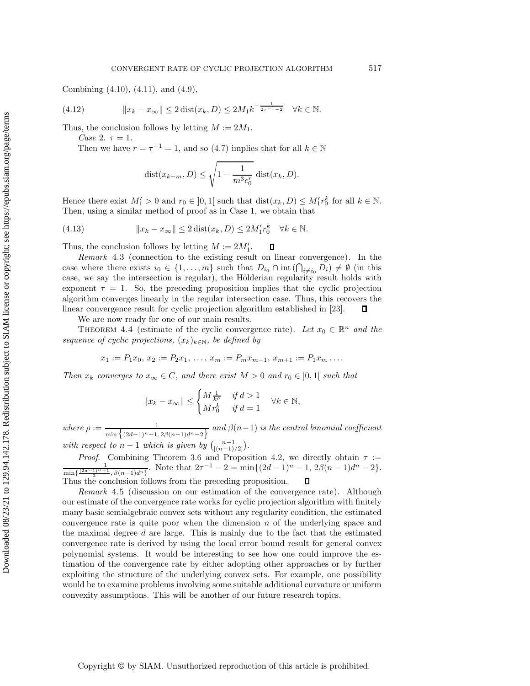Combining [\(4.10\)](#page-18-1), [\(4.11\)](#page-18-2), and [\(4.9\)](#page-18-3),

(4.12) 
$$
||x_k - x_{\infty}|| \le 2 \operatorname{dist}(x_k, D) \le 2M_1 k^{-\frac{1}{2\tau - 1 - 2}} \quad \forall k \in \mathbb{N}.
$$

Thus, the conclusion follows by letting  $M := 2M_1$ .

*Case* 2.  $\tau = 1$ .

Then we have  $r = \tau^{-1} = 1$ , and so [\(4.7\)](#page-18-0) implies that for all  $k \in \mathbb{N}$ 

$$
dist(x_{k+m}, D) \le \sqrt{1 - \frac{1}{m^3 c_0^r}} dist(x_k, D).
$$

Hence there exist  $M'_1 > 0$  and  $r_0 \in ]0,1[$  such that  $dist(x_k, D) \leq M'_1 r_0^k$  for all  $k \in \mathbb{N}$ . Then, using a similar method of proof as in Case 1, we obtain that

(4.13) 
$$
||x_k - x_{\infty}|| \le 2 \operatorname{dist}(x_k, D) \le 2M'_1 r_0^k \quad \forall k \in \mathbb{N}.
$$

Thus, the conclusion follows by letting  $M := 2M'_1$ . П

*Remark* 4.3 (connection to the existing result on linear convergence). In the case where there exists  $i_0 \in \{1, \ldots, m\}$  such that  $D_{i_0} \cap \text{int}(\bigcap_{i \neq i_0} D_i) \neq \emptyset$  (in this case, we say the intersection is regular), the Hölderian regularity result holds with exponent  $\tau = 1$ . So, the preceding proposition implies that the cyclic projection algorithm converges linearly in the regular intersection case. Thus, this recovers the linear convergence result for cyclic projection algorithm established in [\[23\]](#page-29-5).  $\Box$ 

We are now ready for one of our main results.

<span id="page-19-0"></span>THEOREM 4.4 (estimate of the cyclic convergence rate). Let  $x_0 \in \mathbb{R}^n$  and the *sequence of cyclic projections,*  $(x_k)_{k \in \mathbb{N}}$ *, be defined by* 

$$
x_1 := P_1 x_0, x_2 := P_2 x_1, \ldots, x_m := P_m x_{m-1}, x_{m+1} := P_1 x_m \ldots
$$

*Then*  $x_k$  *converges to*  $x_\infty \in C$ *, and there exist*  $M > 0$  *and*  $r_0 \in ]0,1[$  *such that* 

$$
||x_k - x_{\infty}|| \le \begin{cases} M \frac{1}{k^{\rho}} & \text{if } d > 1 \\ Mr_0^k & \text{if } d = 1 \end{cases} \quad \forall k \in \mathbb{N},
$$

where  $\rho := \frac{1}{\min\{(2d-1)^n-1, 2\beta(n-1)d^n-2\}}$  and  $\beta(n-1)$  is the central binomial coefficient *with respect to*  $n-1$  *which is given by*  $\binom{n-1}{[(n-1)/2]}$ .

*Proof.* Combining Theorem [3.6](#page-13-0) and Proposition [4.2,](#page-16-0) we directly obtain  $\tau$  :=

 $\frac{1}{2^{n+1}, \beta(n-1)d^n}$ . Note that  $2\tau^{-1} - 2 = \min\{(2d-1)^n - 1, 2\beta(n-1)d^n - 2\}.$ min{ (2*d*−1)*n*+1 Thus the conclusion follows from the preceding proposition.  $\Box$ 

*Remark* 4.5 (discussion on our estimation of the convergence rate). Although our estimate of the convergence rate works for cyclic projection algorithm with finitely many basic semialgebraic convex sets without any regularity condition, the estimated convergence rate is quite poor when the dimension  $n$  of the underlying space and the maximal degree  $d$  are large. This is mainly due to the fact that the estimated convergence rate is derived by using the local error bound result for general convex polynomial systems. It would be interesting to see how one could improve the estimation of the convergence rate by either adopting other approaches or by further exploiting the structure of the underlying convex sets. For example, one possibility would be to examine problems involving some suitable additional curvature or uniform convexity assumptions. This will be another of our future research topics.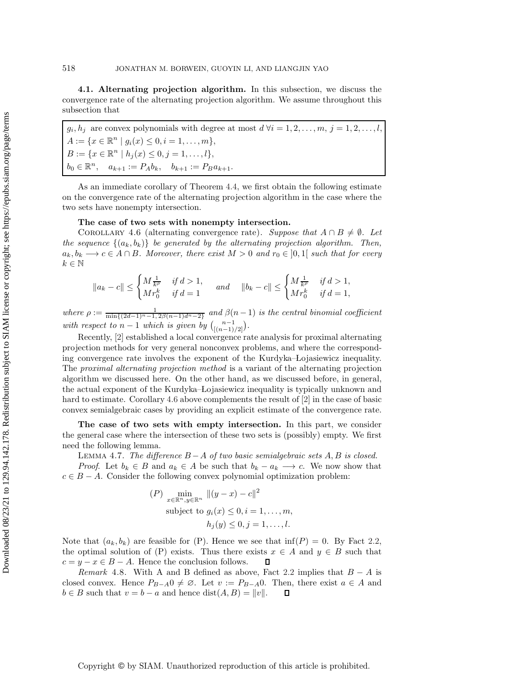**4.1. Alternating projection algorithm.** In this subsection, we discuss the convergence rate of the alternating projection algorithm. We assume throughout this subsection that

 $g_i, h_j$  are convex polynomials with degree at most  $d \forall i = 1, 2, ..., m, j = 1, 2, ..., l$ ,  $A := \{x \in \mathbb{R}^n \mid g_i(x) \leq 0, i = 1, \ldots, m\},\$  $B := \{x \in \mathbb{R}^n \mid h_j(x) \leq 0, j = 1, \ldots, l\},\$  $b_0 \in \mathbb{R}^n$ ,  $a_{k+1} := P_A b_k$ ,  $b_{k+1} := P_B a_{k+1}$ .

As an immediate corollary of Theorem [4.4,](#page-19-0) we first obtain the following estimate on the convergence rate of the alternating projection algorithm in the case where the two sets have nonempty intersection.

### **The case of two sets with nonempty intersection.**

<span id="page-20-0"></span>COROLLARY 4.6 (alternating convergence rate). *Suppose that*  $A \cap B \neq \emptyset$ . Let *the sequence*  $\{(a_k, b_k)\}\$  *be generated by the alternating projection algorithm. Then,*  $a_k, b_k \longrightarrow c \in A \cap B$ *. Moreover, there exist*  $M > 0$  *and*  $r_0 \in ]0,1[$  *such that for every*  $k \in \mathbb{N}$ 

$$
\|a_k-c\|\leq \begin{cases} M \frac{1}{k^{\rho}} & \text{ if } d>1,\\ M r_0^k & \text{ if } d=1 \end{cases}\qquad \text{and}\qquad \|b_k-c\|\leq \begin{cases} M \frac{1}{k^{\rho}} & \text{ if } d>1,\\ M r_0^k & \text{ if } d=1, \end{cases}
$$

where  $\rho := \frac{1}{\min\{(2d-1)^n-1, 2\beta(n-1)d^n-2\}}$  and  $\beta(n-1)$  is the central binomial coefficient *with respect to*  $n-1$  *which is given by*  $\binom{n-1}{[(n-1)/2]}$ .

Recently, [\[2\]](#page-28-8) established a local convergence rate analysis for proximal alternating projection methods for very general nonconvex problems, and where the corresponding convergence rate involves the exponent of the Kurdyka–Lojasiewicz inequality. The *proximal alternating projection method* is a variant of the alternating projection algorithm we discussed here. On the other hand, as we discussed before, in general, the actual exponent of the Kurdyka–Lojasiewicz inequality is typically unknown and hard to estimate. Corollary [4.6](#page-20-0) above complements the result of [\[2\]](#page-28-8) in the case of basic convex semialgebraic cases by providing an explicit estimate of the convergence rate.

**The case of two sets with empty intersection.** In this part, we consider the general case where the intersection of these two sets is (possibly) empty. We first need the following lemma.

<span id="page-20-1"></span>Lemma 4.7. *The difference* B −A *of two basic semialgebraic sets* A, B *is closed. Proof.* Let  $b_k \in B$  and  $a_k \in A$  be such that  $b_k - a_k \longrightarrow c$ . We now show that  $c \in B - A$ . Consider the following convex polynomial optimization problem:

$$
(P) \min_{\substack{x \in \mathbb{R}^n, y \in \mathbb{R}^n}} \| (y - x) - c \|^2
$$
  
subject to  $g_i(x) \le 0, i = 1, \dots, m$ ,  
 $h_j(y) \le 0, j = 1, \dots, l$ .

Note that  $(a_k, b_k)$  are feasible for (P). Hence we see that  $\inf(P) = 0$ . By Fact [2.2,](#page-2-0) the optimal solution of (P) exists. Thus there exists  $x \in A$  and  $y \in B$  such that  $c = y - x \in B - A$ . Hence the conclusion follows. Д

*Remark* 4.8. With A and B defined as above, Fact [2.2](#page-2-0) implies that  $B - A$  is closed convex. Hence  $P_{B-A}0 \neq \emptyset$ . Let  $v := P_{B-A}0$ . Then, there exist  $a \in A$  and  $b \in B$  such that  $v = b - a$  and hence  $dist(A, B) = ||v||$ .  $\Box$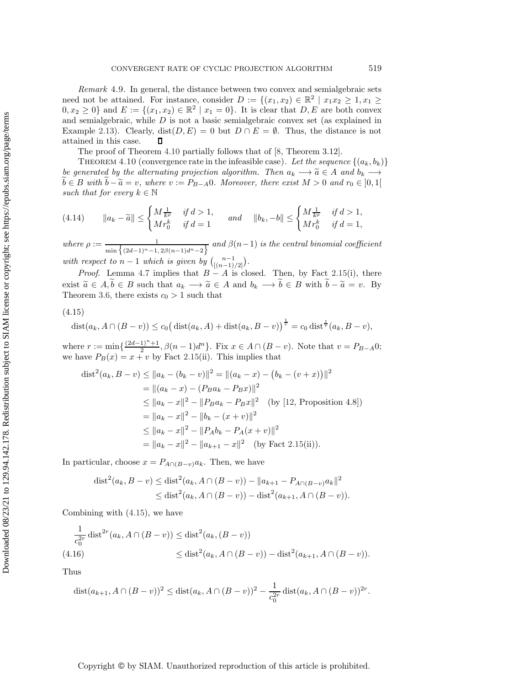*Remark* 4.9. In general, the distance between two convex and semialgebraic sets need not be attained. For instance, consider  $D := \{(x_1, x_2) \in \mathbb{R}^2 \mid x_1x_2 \geq 1, x_1 \geq 1\}$  $0, x_2 \geq 0$  and  $E := \{(x_1, x_2) \in \mathbb{R}^2 \mid x_1 = 0\}$ . It is clear that  $D, E$  are both convex and semialgebraic, while D is not a basic semialgebraic convex set (as explained in Example [2.13\)](#page-4-1). Clearly,  $dist(D, E) = 0$  but  $D \cap E = \emptyset$ . Thus, the distance is not attained in this case.  $\Box$ 

The proof of Theorem [4.10](#page-21-0) partially follows that of [\[8,](#page-28-0) Theorem 3.12].

<span id="page-21-0"></span>THEOREM 4.10 (convergence rate in the infeasible case). Let the sequence  $\{(a_k, b_k)\}$ *be generated by the alternating projection algorithm. Then*  $a_k \to \tilde{a} \in A$  *and*  $b_k \to \tilde{b} \in B$  *with*  $\tilde{b} - \tilde{a} = v$ *, where*  $v := P_{B-A}0$ *. Moreover, there exist*  $M > 0$  *and*  $r_0 \in [0,1]$ *such that for every*  $k \in \mathbb{N}$ 

$$
(4.14) \t ||a_k - \tilde{a}|| \le \begin{cases} M \frac{1}{k^{\rho}} & \text{if } d > 1, \\ M r_0^k & \text{if } d = 1 \end{cases} \quad \text{and} \quad \|b_k, -b\| \le \begin{cases} M \frac{1}{k^{\rho}} & \text{if } d > 1, \\ M r_0^k & \text{if } d = 1, \end{cases}
$$

where  $\rho := \frac{1}{\min\{(2d-1)^n-1, 2\beta(n-1)d^n-2\}}$  and  $\beta(n-1)$  is the central binomial coefficient *with respect to*  $n-1$  *which is given by*  $\binom{n-1}{[(n-1)/2]}$ .

*Proof.* Lemma [4.7](#page-20-1) implies that  $B - A$  is closed. Then, by Fact [2.15\(](#page-5-3)i), there exist  $\tilde{a} \in A, b \in B$  such that  $a_k \longrightarrow \tilde{a} \in A$  and  $b_k \longrightarrow b \in B$  with  $b - \tilde{a} = v$ . By Theorem [3.6,](#page-13-0) there exists  $c_0 > 1$  such that

#### <span id="page-21-1"></span>(4.15)

$$
dist(a_k, A \cap (B - v)) \le c_0 \big( dist(a_k, A) + dist(a_k, B - v) \big)^{\frac{1}{r}} = c_0 \, dist^{\frac{1}{r}}(a_k, B - v),
$$

where  $r := \min\{\frac{(2d-1)^n+1}{2}, \beta(n-1)d^n\}$ . Fix  $x \in A \cap (B - v)$ . Note that  $v = P_{B-A}0$ ; we have  $P_B(x) = x + v$  by Fact [2.15\(](#page-5-3)ii). This implies that

$$
\text{dist}^2(a_k, B - v) \le ||a_k - (b_k - v)||^2 = ||(a_k - x) - (b_k - (v + x))||^2
$$
  
\n
$$
= ||(a_k - x) - (P_B a_k - P_B x)||^2
$$
  
\n
$$
\le ||a_k - x||^2 - ||P_B a_k - P_B x||^2 \quad \text{(by [12, Proposition 4.8])}
$$
  
\n
$$
= ||a_k - x||^2 - ||b_k - (x + v)||^2
$$
  
\n
$$
\le ||a_k - x||^2 - ||P_A b_k - P_A (x + v)||^2
$$
  
\n
$$
= ||a_k - x||^2 - ||a_{k+1} - x||^2 \quad \text{(by Fact 2.15(ii))}.
$$

In particular, choose  $x = P_{A \cap (B-v)} a_k$ . Then, we have

$$
\text{dist}^2(a_k, B - v) \le \text{dist}^2(a_k, A \cap (B - v)) - ||a_{k+1} - P_{A \cap (B - v)} a_k||^2
$$
  

$$
\le \text{dist}^2(a_k, A \cap (B - v)) - \text{dist}^2(a_{k+1}, A \cap (B - v)).
$$

Combining with [\(4.15\)](#page-21-1), we have

$$
\frac{1}{c_0^{2r}} \operatorname{dist}^{2r}(a_k, A \cap (B - v)) \le \operatorname{dist}^2(a_k, (B - v))
$$
  
(4.16) 
$$
\le \operatorname{dist}^2(a_k, A \cap (B - v)) - \operatorname{dist}^2(a_{k+1}, A \cap (B - v)).
$$

Thus

$$
\text{dist}(a_{k+1}, A \cap (B - v))^2 \le \text{dist}(a_k, A \cap (B - v))^2 - \frac{1}{c_0^{2r}} \text{dist}(a_k, A \cap (B - v))^{2r}.
$$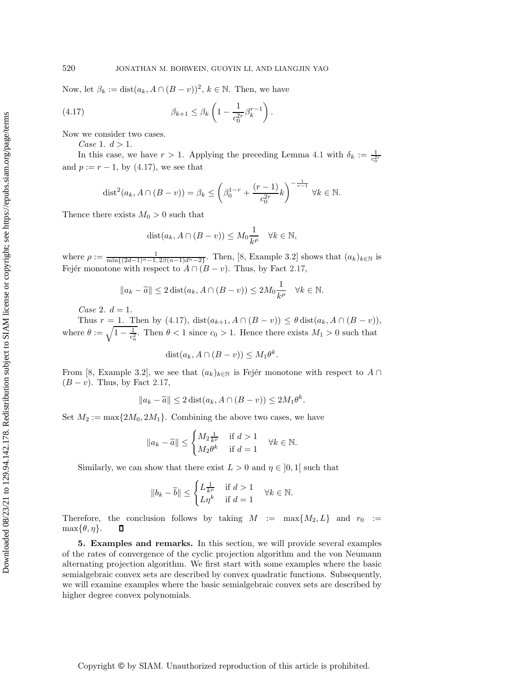Now, let  $\beta_k := \text{dist}(a_k, A \cap (B - v))^2$ ,  $k \in \mathbb{N}$ . Then, we have

<span id="page-22-1"></span>
$$
(4.17) \qquad \beta_{k+1} \leq \beta_k \left(1 - \frac{1}{c_0^{2r}} \beta_k^{r-1}\right).
$$

Now we consider two cases.

*Case* 1.  $d > 1$ .

In this case, we have  $r > 1$ . Applying the preceding Lemma [4.1](#page-15-2) with  $\delta_k := \frac{1}{c_0^{2r}}$ and  $p := r - 1$ , by [\(4.17\)](#page-22-1), we see that

$$
\text{dist}^2(a_k, A \cap (B - v)) = \beta_k \le \left(\beta_0^{1-r} + \frac{(r-1)}{c_0^{2r}}k\right)^{-\frac{1}{r-1}} \forall k \in \mathbb{N}.
$$

Thence there exists  $M_0 > 0$  such that

$$
dist(a_k, A \cap (B - v)) \le M_0 \frac{1}{k^{\rho}} \quad \forall k \in \mathbb{N},
$$

where  $\rho := \frac{1}{\min\{(2d-1)^n-1, 2\beta(n-1)d^n-2\}}$ . Then, [\[8,](#page-28-0) Example 3.2] shows that  $(a_k)_{k \in \mathbb{N}}$  is Fejér monotone with respect to  $A \cap (B - v)$ . Thus, by Fact [2.17,](#page-5-4)

$$
||a_k - \widetilde{a}|| \le 2 \operatorname{dist}(a_k, A \cap (B - v)) \le 2M_0 \frac{1}{k^{\rho}} \quad \forall k \in \mathbb{N}.
$$

*Case* 2.  $d = 1$ .

Thus r = 1. Then by [\(4.17\)](#page-22-1),  $dist(a_{k+1}, A \cap (B - v)) \leq \theta dist(a_k, A \cap (B - v)),$ where  $\theta := \sqrt{1 - \frac{1}{c_0^2}}$ . Then  $\theta < 1$  since  $c_0 > 1$ . Hence there exists  $M_1 > 0$  such that

$$
dist(a_k, A \cap (B - v)) \le M_1 \theta^k.
$$

From [\[8,](#page-28-0) Example 3.2], we see that  $(a_k)_{k\in\mathbb{N}}$  is Fejér monotone with respect to  $A \cap$  $(B - v)$ . Thus, by Fact [2.17,](#page-5-4)

$$
||a_k - \widetilde{a}|| \le 2 \operatorname{dist}(a_k, A \cap (B - v)) \le 2M_1 \theta^k.
$$

Set  $M_2 := \max\{2M_0, 2M_1\}$ . Combining the above two cases, we have

$$
||a_k - \widetilde{a}|| \le \begin{cases} M_2 \frac{1}{k^{\rho}} & \text{if } d > 1 \\ M_2 \theta^k & \text{if } d = 1 \end{cases} \quad \forall k \in \mathbb{N}.
$$

Similarly, we can show that there exist  $L > 0$  and  $\eta \in [0, 1]$  such that

$$
||b_k - \widetilde{b}|| \le \begin{cases} L\frac{1}{k^{\rho}} & \text{if } d > 1 \\ L\eta^k & \text{if } d = 1 \end{cases} \quad \forall k \in \mathbb{N}.
$$

Therefore, the conclusion follows by taking  $M := \max\{M_2, L\}$  and  $r_0 :=$  $\max{\theta, \eta}.$  $\Box$ 

<span id="page-22-0"></span>**5. Examples and remarks.** In this section, we will provide several examples of the rates of convergence of the cyclic projection algorithm and the von Neumann alternating projection algorithm. We first start with some examples where the basic semialgebraic convex sets are described by convex quadratic functions. Subsequently, we will examine examples where the basic semialgebraic convex sets are described by higher degree convex polynomials.

Copyright © by SIAM. Unauthorized reproduction of this article is prohibited.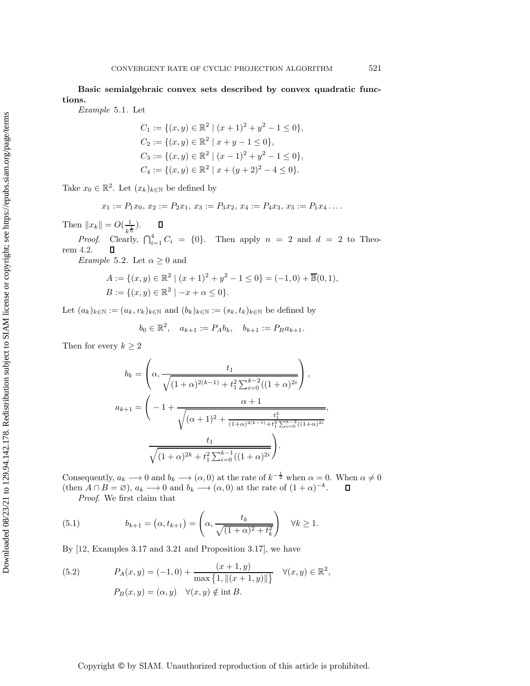**Basic semialgebraic convex sets described by convex quadratic functions.**

*Example* 5.1. Let

$$
C_1 := \{ (x, y) \in \mathbb{R}^2 \mid (x + 1)^2 + y^2 - 1 \le 0 \},
$$
  
\n
$$
C_2 := \{ (x, y) \in \mathbb{R}^2 \mid x + y - 1 \le 0 \},
$$
  
\n
$$
C_3 := \{ (x, y) \in \mathbb{R}^2 \mid (x - 1)^2 + y^2 - 1 \le 0 \},
$$
  
\n
$$
C_4 := \{ (x, y) \in \mathbb{R}^2 \mid x + (y + 2)^2 - 4 \le 0 \}.
$$

Take  $x_0 \in \mathbb{R}^2$ . Let  $(x_k)_{k \in \mathbb{N}}$  be defined by

$$
x_1 := P_1 x_0, x_2 := P_2 x_1, x_3 := P_3 x_2, x_4 := P_4 x_3, x_5 := P_1 x_4 \dots
$$

Then  $||x_k|| = O(\frac{1}{k^{\frac{1}{6}}}).$ 

<span id="page-23-2"></span>*Proof.* Clearly,  $\bigcap_{i=1}^4 C_i = \{0\}$ . Then apply  $n = 2$  and  $d = 2$  to Theorem [4.2.](#page-16-0)  $\Box$ 

*Example* 5.2. Let  $\alpha \geq 0$  and

$$
A := \{ (x, y) \in \mathbb{R}^2 \mid (x + 1)^2 + y^2 - 1 \le 0 \} = (-1, 0) + \overline{\mathbb{B}}(0, 1),
$$
  

$$
B := \{ (x, y) \in \mathbb{R}^2 \mid -x + \alpha \le 0 \}.
$$

Let  $(a_k)_{k\in\mathbb{N}} := (u_k, v_k)_{k\in\mathbb{N}}$  and  $(b_k)_{k\in\mathbb{N}} := (s_k, t_k)_{k\in\mathbb{N}}$  be defined by

$$
b_0 \in \mathbb{R}^2
$$
,  $a_{k+1} := P_A b_k$ ,  $b_{k+1} := P_B a_{k+1}$ .

Then for every  $k \geq 2$ 

$$
b_k = \left(\alpha, \frac{t_1}{\sqrt{(1+\alpha)^{2(k-1)} + t_1^2 \sum_{i=0}^{k-2} ((1+\alpha)^{2i})}}, \alpha_{k+1} = \left(-1 + \frac{\alpha+1}{\sqrt{(\alpha+1)^2 + \frac{t_1^2}{(1+\alpha)^{2(k-1)} + t_1^2 \sum_{i=0}^{k-2} ((1+\alpha)^{2i})}}}, \frac{t_1}{\sqrt{(1+\alpha)^{2k} + t_1^2 \sum_{i=0}^{k-1} ((1+\alpha)^{2i})}}\right).
$$

Consequently,  $a_k \longrightarrow 0$  and  $b_k \longrightarrow (\alpha, 0)$  at the rate of  $k^{-\frac{1}{2}}$  when  $\alpha = 0$ . When  $\alpha \neq 0$ (then  $A \cap B = \emptyset$ ),  $a_k \longrightarrow 0$  and  $b_k \longrightarrow (\alpha, 0)$  at the rate of  $(1 + \alpha)^{-k}$ .  $\Box$ 

*Proof*. We first claim that

<span id="page-23-1"></span>(5.1) 
$$
b_{k+1} = (\alpha, t_{k+1}) = \left(\alpha, \frac{t_k}{\sqrt{(1+\alpha)^2 + t_k^2}}\right) \quad \forall k \ge 1.
$$

By [\[12,](#page-28-1) Examples 3.17 and 3.21 and Proposition 3.17], we have

<span id="page-23-0"></span>(5.2) 
$$
P_A(x, y) = (-1, 0) + \frac{(x + 1, y)}{\max\{1, ||(x + 1, y)||\}} \quad \forall (x, y) \in \mathbb{R}^2,
$$

$$
P_B(x, y) = (\alpha, y) \quad \forall (x, y) \notin \text{int } B.
$$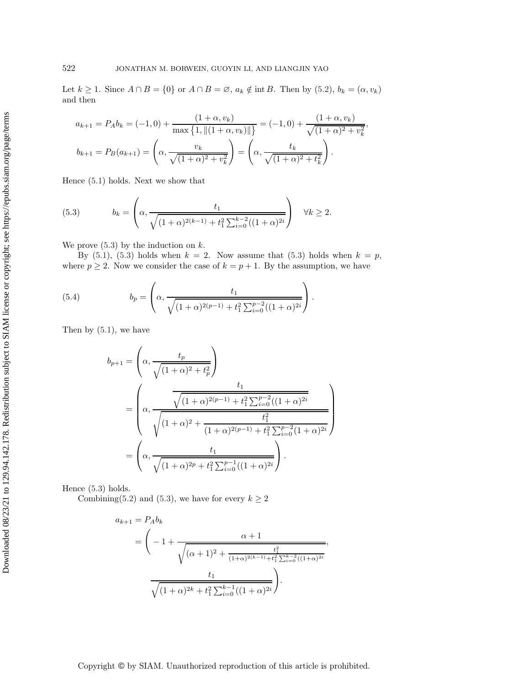Let  $k \ge 1$ . Since  $A \cap B = \{0\}$  or  $A \cap B = \emptyset$ ,  $a_k \notin \text{int } B$ . Then by  $(5.2)$ ,  $b_k = (\alpha, v_k)$ and then

$$
a_{k+1} = P_A b_k = (-1,0) + \frac{(1+\alpha, v_k)}{\max\{1, \|(1+\alpha, v_k)\| \}} = (-1,0) + \frac{(1+\alpha, v_k)}{\sqrt{(1+\alpha)^2 + v_k^2}},
$$

$$
b_{k+1} = P_B(a_{k+1}) = \left(\alpha, \frac{v_k}{\sqrt{(1+\alpha)^2 + v_k^2}}\right) = \left(\alpha, \frac{t_k}{\sqrt{(1+\alpha)^2 + t_k^2}}\right).
$$

Hence [\(5.1\)](#page-23-1) holds. Next we show that

<span id="page-24-0"></span>(5.3) 
$$
b_k = \left(\alpha, \frac{t_1}{\sqrt{(1+\alpha)^{2(k-1)} + t_1^2 \sum_{i=0}^{k-2} ((1+\alpha)^{2i})}}\right) \quad \forall k \ge 2.
$$

We prove  $(5.3)$  by the induction on  $k$ .

By [\(5.1\)](#page-23-1), [\(5.3\)](#page-24-0) holds when  $k = 2$ . Now assume that (5.3) holds when  $k = p$ , where  $p \geq 2$ . Now we consider the case of  $k = p + 1$ . By the assumption, we have

(5.4) 
$$
b_p = \left(\alpha, \frac{t_1}{\sqrt{(1+\alpha)^{2(p-1)} + t_1^2 \sum_{i=0}^{p-2} ((1+\alpha)^{2i})}}\right).
$$

Then by [\(5.1\)](#page-23-1), we have

$$
b_{p+1} = \left(\alpha, \frac{t_p}{\sqrt{(1+\alpha)^2 + t_p^2}}\right)
$$
  
= 
$$
\left(\alpha, \frac{\frac{t_1}{\sqrt{(1+\alpha)^2 + t_p^2}}}{\sqrt{(1+\alpha)^2 + \frac{t_1^2 \sum_{i=0}^{p-2} ((1+\alpha)^{2i})}{(1+\alpha)^2 + t_1^2 \sum_{i=0}^{p-2} (1+\alpha)^{2i}}}}\right)
$$
  
= 
$$
\left(\alpha, \frac{t_1}{\sqrt{(1+\alpha)^2 + t_1^2 \sum_{i=0}^{p-1} ((1+\alpha)^{2i})}}\right).
$$

Hence [\(5.3\)](#page-24-0) holds.

Combining[\(5.2\)](#page-23-0) and [\(5.3\)](#page-24-0), we have for every  $k \ge 2$ 

$$
a_{k+1} = P_A b_k
$$
  
=  $\left(-1 + \frac{\alpha + 1}{\sqrt{(\alpha + 1)^2 + \frac{t_1^2}{(1 + \alpha)^{2(k-1)} + t_1^2 \sum_{i=0}^{k-2} ((1 + \alpha)^{2i})}}}, \frac{t_1}{\sqrt{(1 + \alpha)^{2k} + t_1^2 \sum_{i=0}^{k-1} ((1 + \alpha)^{2i})}}\right).$ 

Copyright © by SIAM. Unauthorized reproduction of this article is prohibited.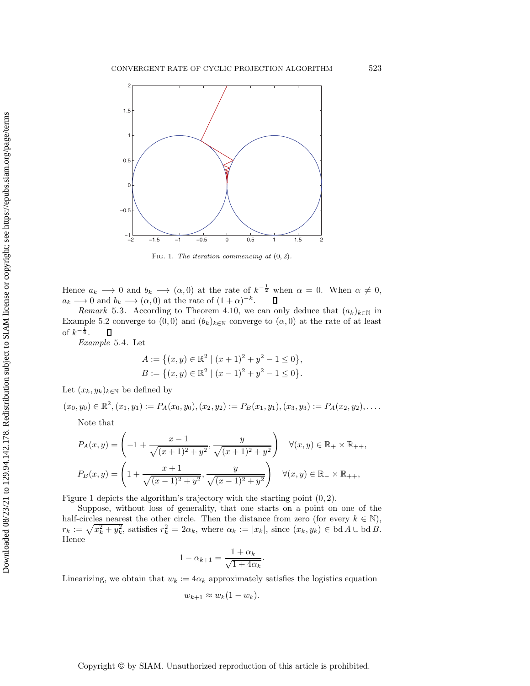

<span id="page-25-0"></span>Fig. 1. The iteration commencing at (0*,* 2).

Hence  $a_k \longrightarrow 0$  and  $b_k \longrightarrow (\alpha, 0)$  at the rate of  $k^{-\frac{1}{2}}$  when  $\alpha = 0$ . When  $\alpha \neq 0$ ,  $a_k \longrightarrow 0$  and  $b_k \longrightarrow (\alpha, 0)$  at the rate of  $(1 + \alpha)^{-k}$ .  $\Box$ 

*Remark* 5.3. According to Theorem [4.10,](#page-21-0) we can only deduce that  $(a_k)_{k\in\mathbb{N}}$  in Example [5.2](#page-23-2) converge to  $(0,0)$  and  $(b_k)_{k\in\mathbb{N}}$  converge to  $(\alpha,0)$  at the rate of at least of  $k^{-\frac{1}{6}}$ .  $\Box$ 

<span id="page-25-1"></span>*Example* 5.4. Let

$$
A := \left\{ (x, y) \in \mathbb{R}^2 \mid (x + 1)^2 + y^2 - 1 \le 0 \right\},\
$$
  

$$
B := \left\{ (x, y) \in \mathbb{R}^2 \mid (x - 1)^2 + y^2 - 1 \le 0 \right\}.
$$

Let  $(x_k, y_k)_{k \in \mathbb{N}}$  be defined by

 $(x_0, y_0) \in \mathbb{R}^2$ ,  $(x_1, y_1) := P_A(x_0, y_0), (x_2, y_2) := P_B(x_1, y_1), (x_3, y_3) := P_A(x_2, y_2), \ldots$ 

Note that

$$
P_A(x,y) = \left(-1 + \frac{x-1}{\sqrt{(x+1)^2 + y^2}}, \frac{y}{\sqrt{(x+1)^2 + y^2}}\right) \quad \forall (x,y) \in \mathbb{R}_+ \times \mathbb{R}_{++},
$$
  

$$
P_B(x,y) = \left(1 + \frac{x+1}{\sqrt{(x-1)^2 + y^2}}, \frac{y}{\sqrt{(x-1)^2 + y^2}}\right) \quad \forall (x,y) \in \mathbb{R}_- \times \mathbb{R}_{++},
$$

Figure [1](#page-25-0) depicts the algorithm's trajectory with the starting point (0, 2).

Suppose, without loss of generality, that one starts on a point on one of the half-circles nearest the other circle. Then the distance from zero (for every  $k \in \mathbb{N}$ ),  $r_k := \sqrt{x_k^2 + y_k^2}$ , satisfies  $r_k^2 = 2\alpha_k$ , where  $\alpha_k := |x_k|$ , since  $(x_k, y_k) \in \text{bd } A \cup \text{bd } B$ . Hence

$$
1 - \alpha_{k+1} = \frac{1 + \alpha_k}{\sqrt{1 + 4\alpha_k}}.
$$

Linearizing, we obtain that  $w_k := 4\alpha_k$  approximately satisfies the logistics equation

$$
w_{k+1} \approx w_k(1-w_k).
$$

Copyright © by SIAM. Unauthorized reproduction of this article is prohibited.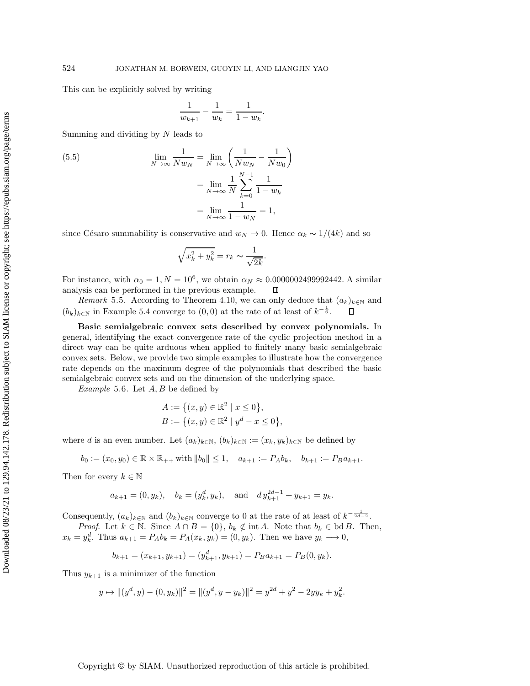This can be explicitly solved by writing

$$
\frac{1}{w_{k+1}} - \frac{1}{w_k} = \frac{1}{1 - w_k}.
$$

Summing and dividing by  $N$  leads to

(5.5) 
$$
\lim_{N \to \infty} \frac{1}{N w_N} = \lim_{N \to \infty} \left( \frac{1}{N w_N} - \frac{1}{N w_0} \right) \n= \lim_{N \to \infty} \frac{1}{N} \sum_{k=0}^{N-1} \frac{1}{1 - w_k} \n= \lim_{N \to \infty} \frac{1}{1 - w_N} = 1,
$$

since Césaro summability is conservative and  $w_N \to 0$ . Hence  $\alpha_k \sim 1/(4k)$  and so

$$
\sqrt{x_k^2 + y_k^2} = r_k \sim \frac{1}{\sqrt{2k}}.
$$

For instance, with  $\alpha_0 = 1, N = 10^6$ , we obtain  $\alpha_N \approx 0.0000002499992442$ . A similar analysis can be performed in the previous example.  $\Box$ 

*Remark* 5.5. According to Theorem [4.10,](#page-21-0) we can only deduce that  $(a_k)_{k\in\mathbb{N}}$  and  $(b_k)_{k \in \mathbb{N}}$  in Example [5.4](#page-25-1) converge to  $(0,0)$  at the rate of at least of  $k^{-\frac{1}{6}}$ .  $\Box$ 

**Basic semialgebraic convex sets described by convex polynomials.** In general, identifying the exact convergence rate of the cyclic projection method in a direct way can be quite arduous when applied to finitely many basic semialgebraic convex sets. Below, we provide two simple examples to illustrate how the convergence rate depends on the maximum degree of the polynomials that described the basic semialgebraic convex sets and on the dimension of the underlying space.

<span id="page-26-0"></span>*Example* 5.6. Let A, B be defined by

$$
A := \{(x, y) \in \mathbb{R}^2 \mid x \le 0\},\
$$
  

$$
B := \{(x, y) \in \mathbb{R}^2 \mid y^d - x \le 0\},\
$$

where d is an even number. Let  $(a_k)_{k\in\mathbb{N}}$ ,  $(b_k)_{k\in\mathbb{N}} := (x_k, y_k)_{k\in\mathbb{N}}$  be defined by

$$
b_0 := (x_0, y_0) \in \mathbb{R} \times \mathbb{R}_{++} \text{ with } \|b_0\| \le 1, \quad a_{k+1} := P_A b_k, \quad b_{k+1} := P_B a_{k+1}.
$$

Then for every  $k \in \mathbb{N}$ 

$$
a_{k+1} = (0, y_k),
$$
  $b_k = (y_k^d, y_k),$  and  $dy_{k+1}^{2d-1} + y_{k+1} = y_k.$ 

Consequently,  $(a_k)_{k \in \mathbb{N}}$  and  $(b_k)_{k \in \mathbb{N}}$  converge to 0 at the rate of at least of  $k^{-\frac{1}{2d-2}}$ .

*Proof.* Let  $k \in \mathbb{N}$ . Since  $A \cap B = \{0\}$ ,  $b_k \notin \text{int } A$ . Note that  $b_k \in \text{bd } B$ . Then,  $x_k = y_k^d$ . Thus  $a_{k+1} = P_A b_k = P_A(x_k, y_k) = (0, y_k)$ . Then we have  $y_k \longrightarrow 0$ ,

$$
b_{k+1} = (x_{k+1}, y_{k+1}) = (y_{k+1}^d, y_{k+1}) = P_B a_{k+1} = P_B(0, y_k).
$$

Thus  $y_{k+1}$  is a minimizer of the function

$$
y \mapsto ||(y^d, y) - (0, y_k)||^2 = ||(y^d, y - y_k)||^2 = y^{2d} + y^2 - 2yy_k + y_k^2.
$$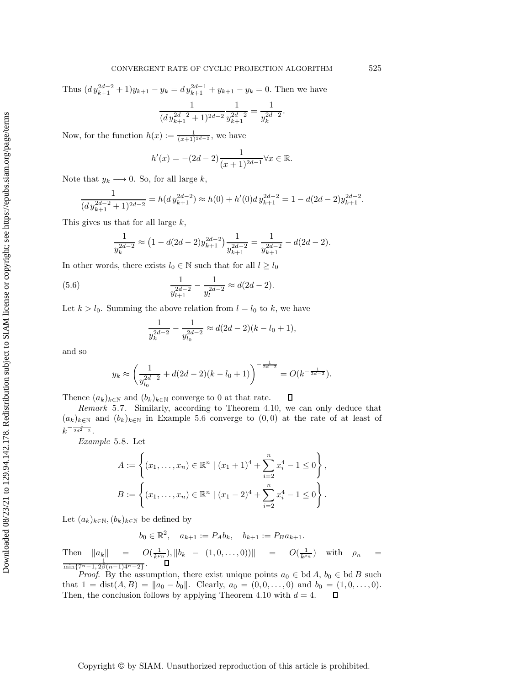Thus  $\left( dy_{k+1}^{2d-2} + 1 \right) y_{k+1} - y_k = dy_{k+1}^{2d-1} + y_{k+1} - y_k = 0$ . Then we have

$$
\frac{1}{(dy_{k+1}^{2d-2}+1)^{2d-2}}\frac{1}{y_{k+1}^{2d-2}} = \frac{1}{y_k^{2d-2}}.
$$

Now, for the function  $h(x) := \frac{1}{(x+1)^{2d-2}}$ , we have

$$
h'(x) = -(2d - 2)\frac{1}{(x+1)^{2d-1}} \forall x \in \mathbb{R}.
$$

Note that  $y_k \longrightarrow 0$ . So, for all large k,

$$
\frac{1}{(d\,y_{k+1}^{2d-2}+1)^{2d-2}} = h(d\,y_{k+1}^{2d-2}) \approx h(0) + h'(0)d\,y_{k+1}^{2d-2} = 1 - d(2d-2)y_{k+1}^{2d-2}.
$$

This gives us that for all large  $k$ ,

$$
\frac{1}{y_k^{2d-2}} \approx (1 - d(2d-2)y_{k+1}^{2d-2}) \frac{1}{y_{k+1}^{2d-2}} = \frac{1}{y_{k+1}^{2d-2}} - d(2d-2).
$$

In other words, there exists  $l_0 \in \mathbb{N}$  such that for all  $l \geq l_0$ 

(5.6) 
$$
\frac{1}{y_{l+1}^{2d-2}} - \frac{1}{y_l^{2d-2}} \approx d(2d-2).
$$

Let  $k > l_0$ . Summing the above relation from  $l = l_0$  to k, we have

$$
\frac{1}{y_k^{2d-2}} - \frac{1}{y_{l_0}^{2d-2}} \approx d(2d-2)(k-l_0+1),
$$

and so

$$
y_k \approx \left(\frac{1}{y_{l_0}^{2d-2}} + d(2d-2)(k-l_0+1)\right)^{-\frac{1}{2d-2}} = O(k^{-\frac{1}{2d-2}}).
$$

Thence  $(a_k)_{k\in\mathbb{N}}$  and  $(b_k)_{k\in\mathbb{N}}$  converge to 0 at that rate. о

*Remark* 5.7. Similarly, according to Theorem [4.10,](#page-21-0) we can only deduce that  $(a_k)_{k\in\mathbb{N}}$  and  $(b_k)_{k\in\mathbb{N}}$  in Example [5.6](#page-26-0) converge to  $(0,0)$  at the rate of at least of  $k^{-\frac{1}{2d^2-2}}$ .

*Example* 5.8. Let

$$
A := \left\{ (x_1, \dots, x_n) \in \mathbb{R}^n \mid (x_1 + 1)^4 + \sum_{i=2}^n x_i^4 - 1 \le 0 \right\},
$$
  

$$
B := \left\{ (x_1, \dots, x_n) \in \mathbb{R}^n \mid (x_1 - 2)^4 + \sum_{i=2}^n x_i^4 - 1 \le 0 \right\}.
$$

Let  $(a_k)_{k\in\mathbb{N}}$ ,  $(b_k)_{k\in\mathbb{N}}$  be defined by

$$
b_0 \in \mathbb{R}^2
$$
,  $a_{k+1} := P_A b_k$ ,  $b_{k+1} := P_B a_{k+1}$ .

Then  $||a_k|| = O(\frac{1}{k^{\rho_n}}), ||b_k - (1, 0, \ldots, 0))|| = O(\frac{1}{k^{\rho_n}})$  with  $\rho_n = \frac{1}{\min\{7^n - 1, 2\beta(n-1)4^n - 2\}}$ .

*Proof.* By the assumption, there exist unique points  $a_0 \in bd A$ ,  $b_0 \in bd B$  such that  $1 = \text{dist}(A, B) = ||a_0 - b_0||$ . Clearly,  $a_0 = (0, 0, \ldots, 0)$  and  $b_0 = (1, 0, \ldots, 0)$ . Then, the conclusion follows by applying Theorem [4.10](#page-21-0) with  $d = 4$ .  $\mathsf{\Pi}$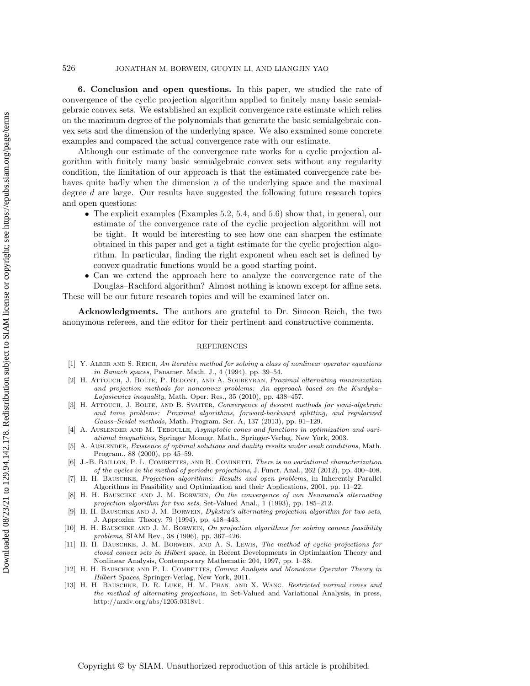**6. Conclusion and open questions.** In this paper, we studied the rate of convergence of the cyclic projection algorithm applied to finitely many basic semialgebraic convex sets. We established an explicit convergence rate estimate which relies on the maximum degree of the polynomials that generate the basic semialgebraic convex sets and the dimension of the underlying space. We also examined some concrete examples and compared the actual convergence rate with our estimate.

Although our estimate of the convergence rate works for a cyclic projection algorithm with finitely many basic semialgebraic convex sets without any regularity condition, the limitation of our approach is that the estimated convergence rate behaves quite badly when the dimension  $n$  of the underlying space and the maximal degree d are large. Our results have suggested the following future research topics and open questions:

- The explicit examples (Examples [5.2,](#page-23-2) [5.4,](#page-25-1) and [5.6\)](#page-26-0) show that, in general, our estimate of the convergence rate of the cyclic projection algorithm will not be tight. It would be interesting to see how one can sharpen the estimate obtained in this paper and get a tight estimate for the cyclic projection algorithm. In particular, finding the right exponent when each set is defined by convex quadratic functions would be a good starting point.
- Can we extend the approach here to analyze the convergence rate of the Douglas–Rachford algorithm? Almost nothing is known except for affine sets. These will be our future research topics and will be examined later on.

**Acknowledgments.** The authors are grateful to Dr. Simeon Reich, the two anonymous referees, and the editor for their pertinent and constructive comments.

#### REFERENCES

- <span id="page-28-12"></span>[1] Y. ALBER AND S. REICH, An iterative method for solving a class of nonlinear operator equations in Banach spaces, Panamer. Math. J., 4 (1994), pp. 39–54.
- <span id="page-28-8"></span>[2] H. ATTOUCH, J. BOLTE, P. REDONT, AND A. SOUBEYRAN, Proximal alternating minimization and projection methods for nonconvex problems: An approach based on the Kurdyka–  $Logasiewicz inequality$ , Math. Oper. Res., 35 (2010), pp. 438-457.
- <span id="page-28-9"></span>[3] H. ATTOUCH, J. BOLTE, AND B. SVAITER, Convergence of descent methods for semi-algebraic and tame problems: Proximal algorithms, forward-backward splitting, and regularized Gauss–Seidel methods, Math. Program. Ser. A, 137 (2013), pp. 91–129.
- <span id="page-28-10"></span>[4] A. AUSLENDER AND M. TEBOULLE, Asymptotic cones and functions in optimization and variational inequalities, Springer Monogr. Math., Springer-Verlag, New York, 2003.
- <span id="page-28-11"></span>[5] A. Auslender, Existence of optimal solutions and duality results under weak conditions, Math. Program., 88 (2000), pp 45–59.
- <span id="page-28-4"></span>[6] J.-B. BAILLON, P. L. COMBETTES, AND R. COMINETTI, There is no variational characterization of the cycles in the method of periodic projections, J. Funct. Anal., 262 (2012), pp. 400–408.
- <span id="page-28-3"></span>[7] H. H. Bauschke, Projection algorithms: Results and open problems, in Inherently Parallel Algorithms in Feasibility and Optimization and their Applications, 2001, pp. 11–22.
- <span id="page-28-0"></span>[8] H. H. BAUSCHKE AND J. M. BORWEIN, On the convergence of von Neumann's alternating projection algorithm for two sets, Set-Valued Anal., 1 (1993), pp. 185–212.
- <span id="page-28-7"></span>H. H. BAUSCHKE AND J. M. BORWEIN, Dykstra's alternating projection algorithm for two sets, J. Approxim. Theory, 79 (1994), pp. 418–443.
- <span id="page-28-5"></span>[10] H. H. BAUSCHKE AND J. M. BORWEIN, On projection algorithms for solving convex feasibility problems, SIAM Rev., 38 (1996), pp. 367–426.
- <span id="page-28-6"></span>[11] H. H. BAUSCHKE, J. M. BORWEIN, AND A. S. LEWIS, The method of cyclic projections for closed convex sets in Hilbert space, in Recent Developments in Optimization Theory and Nonlinear Analysis, Contemporary Mathematic 204, 1997, pp. 1–38.
- <span id="page-28-1"></span>[12] H. H. BAUSCHKE AND P. L. COMBETTES, Convex Analysis and Monotone Operator Theory in Hilbert Spaces, Springer-Verlag, New York, 2011.
- <span id="page-28-2"></span>[13] H. H. BAUSCHKE, D. R. LUKE, H. M. PHAN, AND X. WANG, Restricted normal cones and the method of alternating projections, in Set-Valued and Variational Analysis, in press, [http://arxiv.org/abs/1205.0318v1.](http://arxiv.org/abs/1205.0318v1)